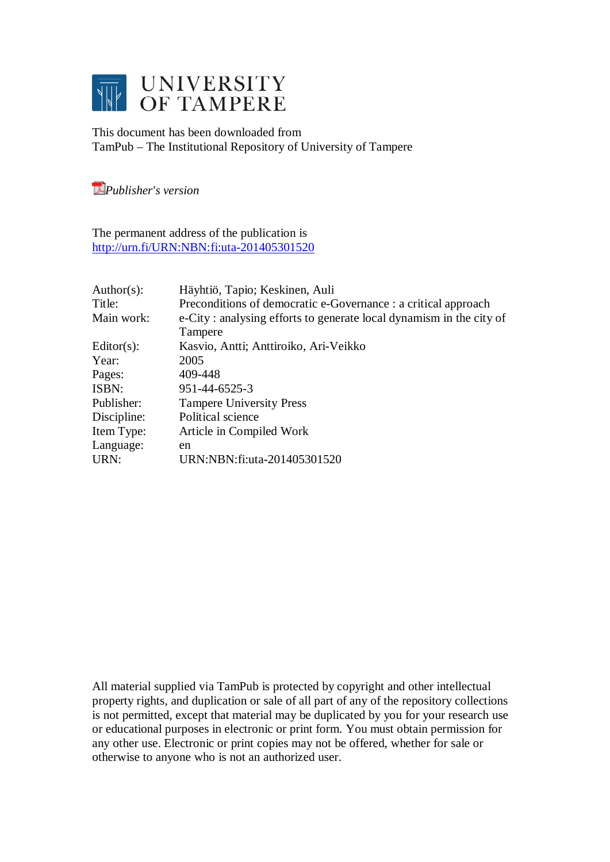

This document has been downloaded from TamPub – The Institutional Repository of University of Tampere

*[P](http://tampub.uta.fi/english/haekokoversio.php?id=1007)ublisher's version* 

The permanent address of the publication is <http://urn.fi/URN:NBN:fi:uta-201405301520>

| Author(s):    | Häyhtiö, Tapio; Keskinen, Auli                                      |
|---------------|---------------------------------------------------------------------|
| Title:        | Preconditions of democratic e-Governance : a critical approach      |
| Main work:    | e-City: analysing efforts to generate local dynamism in the city of |
|               | Tampere                                                             |
| $Editor(s)$ : | Kasvio, Antti; Anttiroiko, Ari-Veikko                               |
| Year:         | 2005                                                                |
| Pages:        | 409-448                                                             |
| ISBN:         | 951-44-6525-3                                                       |
| Publisher:    | <b>Tampere University Press</b>                                     |
| Discipline:   | Political science                                                   |
| Item Type:    | Article in Compiled Work                                            |
| Language:     | en                                                                  |
| URN:          | URN:NBN:fi:uta-201405301520                                         |

All material supplied via TamPub is protected by copyright and other intellectual property rights, and duplication or sale of all part of any of the repository collections is not permitted, except that material may be duplicated by you for your research use or educational purposes in electronic or print form. You must obtain permission for any other use. Electronic or print copies may not be offered, whether for sale or otherwise to anyone who is not an authorized user.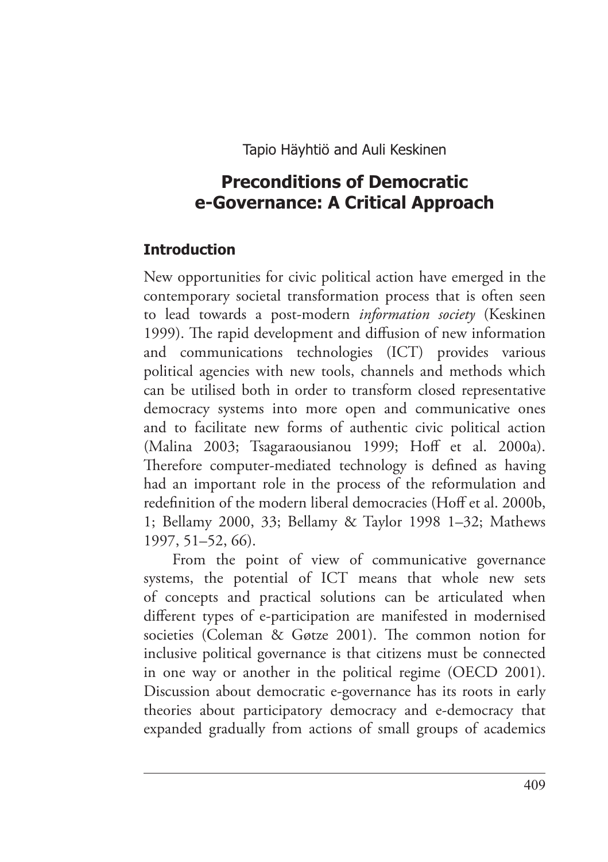Tapio Häyhtiö and Auli Keskinen

# **Preconditions of Democratic e-Governance: A Critical Approach**

#### **Introduction**

New opportunities for civic political action have emerged in the contemporary societal transformation process that is often seen to lead towards a post-modern *information society* (Keskinen 1999). The rapid development and diffusion of new information and communications technologies (ICT) provides various political agencies with new tools, channels and methods which can be utilised both in order to transform closed representative democracy systems into more open and communicative ones and to facilitate new forms of authentic civic political action (Malina 2003; Tsagaraousianou 1999; Hoff et al. 2000a). Therefore computer-mediated technology is defined as having had an important role in the process of the reformulation and redefinition of the modern liberal democracies (Hoff et al. 2000b, 1; Bellamy 2000, 33; Bellamy & Taylor 1998 1–32; Mathews 1997, 51–52, 66).

From the point of view of communicative governance systems, the potential of ICT means that whole new sets of concepts and practical solutions can be articulated when different types of e-participation are manifested in modernised societies (Coleman & Gøtze 2001). The common notion for inclusive political governance is that citizens must be connected in one way or another in the political regime (OECD 2001). Discussion about democratic e-governance has its roots in early theories about participatory democracy and e-democracy that expanded gradually from actions of small groups of academics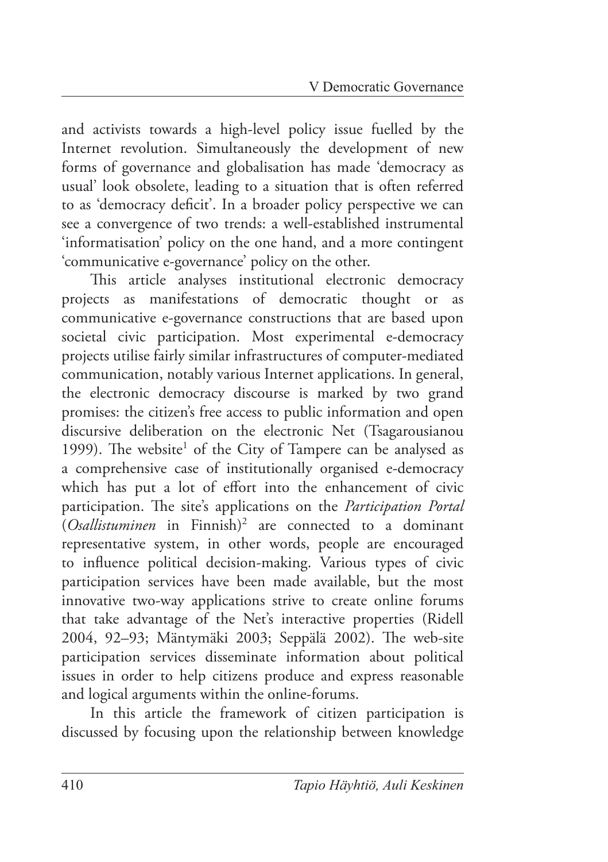and activists towards a high-level policy issue fuelled by the Internet revolution. Simultaneously the development of new forms of governance and globalisation has made 'democracy as usual' look obsolete, leading to a situation that is often referred to as 'democracy deficit'. In a broader policy perspective we can see a convergence of two trends: a well-established instrumental 'informatisation' policy on the one hand, and a more contingent 'communicative e-governance' policy on the other.

This article analyses institutional electronic democracy projects as manifestations of democratic thought or as communicative e-governance constructions that are based upon societal civic participation. Most experimental e-democracy projects utilise fairly similar infrastructures of computer-mediated communication, notably various Internet applications. In general, the electronic democracy discourse is marked by two grand promises: the citizen's free access to public information and open discursive deliberation on the electronic Net (Tsagarousianou 1999). The website<sup>1</sup> of the City of Tampere can be analysed as a comprehensive case of institutionally organised e-democracy which has put a lot of effort into the enhancement of civic participation. The site's applications on the *Participation Portal* (*Osallistuminen* in Finnish)2 are connected to a dominant representative system, in other words, people are encouraged to influence political decision-making. Various types of civic participation services have been made available, but the most innovative two-way applications strive to create online forums that take advantage of the Net's interactive properties (Ridell 2004, 92-93; Mäntymäki 2003; Seppälä 2002). The web-site participation services disseminate information about political issues in order to help citizens produce and express reasonable and logical arguments within the online-forums.

In this article the framework of citizen participation is discussed by focusing upon the relationship between knowledge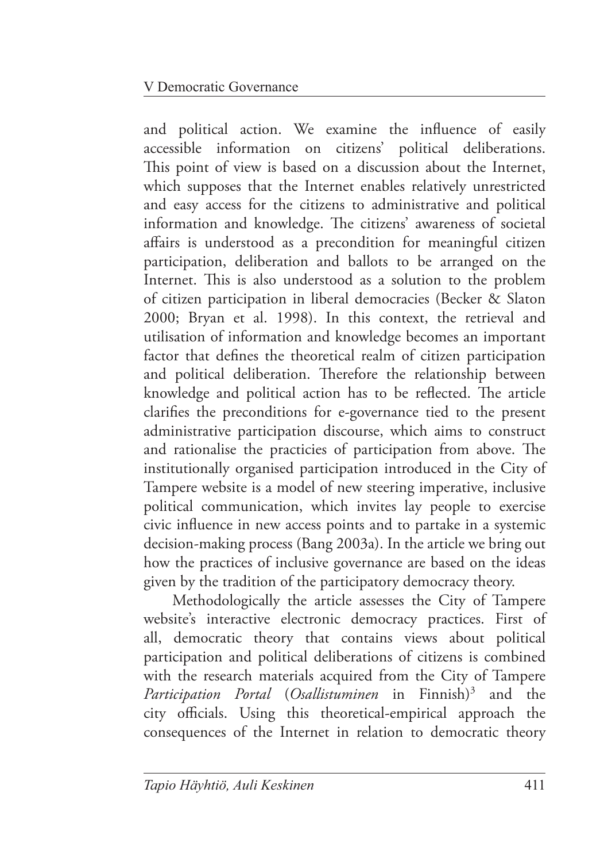and political action. We examine the influence of easily accessible information on citizens' political deliberations. This point of view is based on a discussion about the Internet, which supposes that the Internet enables relatively unrestricted and easy access for the citizens to administrative and political information and knowledge. The citizens' awareness of societal affairs is understood as a precondition for meaningful citizen participation, deliberation and ballots to be arranged on the Internet. This is also understood as a solution to the problem of citizen participation in liberal democracies (Becker & Slaton 2000; Bryan et al. 1998). In this context, the retrieval and utilisation of information and knowledge becomes an important factor that defines the theoretical realm of citizen participation and political deliberation. Therefore the relationship between knowledge and political action has to be reflected. The article clarifies the preconditions for e-governance tied to the present administrative participation discourse, which aims to construct and rationalise the practicies of participation from above. The institutionally organised participation introduced in the City of Tampere website is a model of new steering imperative, inclusive political communication, which invites lay people to exercise civic influence in new access points and to partake in a systemic decision-making process (Bang 2003a). In the article we bring out how the practices of inclusive governance are based on the ideas given by the tradition of the participatory democracy theory.

Methodologically the article assesses the City of Tampere website's interactive electronic democracy practices. First of all, democratic theory that contains views about political participation and political deliberations of citizens is combined with the research materials acquired from the City of Tampere *Participation Portal (Osallistuminen* in Finnish)<sup>3</sup> and the city officials. Using this theoretical-empirical approach the consequences of the Internet in relation to democratic theory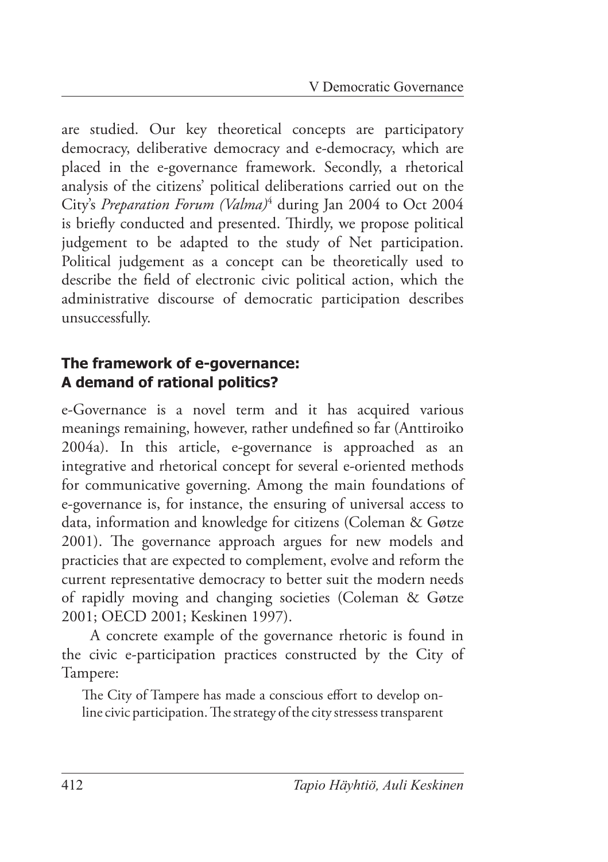are studied. Our key theoretical concepts are participatory democracy, deliberative democracy and e-democracy, which are placed in the e-governance framework. Secondly, a rhetorical analysis of the citizens' political deliberations carried out on the City's *Preparation Forum (Valma)*<sup>4</sup> during Jan 2004 to Oct 2004 is briefly conducted and presented. Thirdly, we propose political judgement to be adapted to the study of Net participation. Political judgement as a concept can be theoretically used to describe the field of electronic civic political action, which the administrative discourse of democratic participation describes unsuccessfully.

### **The framework of e-governance: A demand of rational politics?**

e-Governance is a novel term and it has acquired various meanings remaining, however, rather undefined so far (Anttiroiko 2004a). In this article, e-governance is approached as an integrative and rhetorical concept for several e-oriented methods for communicative governing. Among the main foundations of e-governance is, for instance, the ensuring of universal access to data, information and knowledge for citizens (Coleman & Gøtze 2001). The governance approach argues for new models and practicies that are expected to complement, evolve and reform the current representative democracy to better suit the modern needs of rapidly moving and changing societies (Coleman & Gøtze 2001; OECD 2001; Keskinen 1997).

A concrete example of the governance rhetoric is found in the civic e-participation practices constructed by the City of Tampere:

The City of Tampere has made a conscious effort to develop online civic participation. The strategy of the city stressess transparent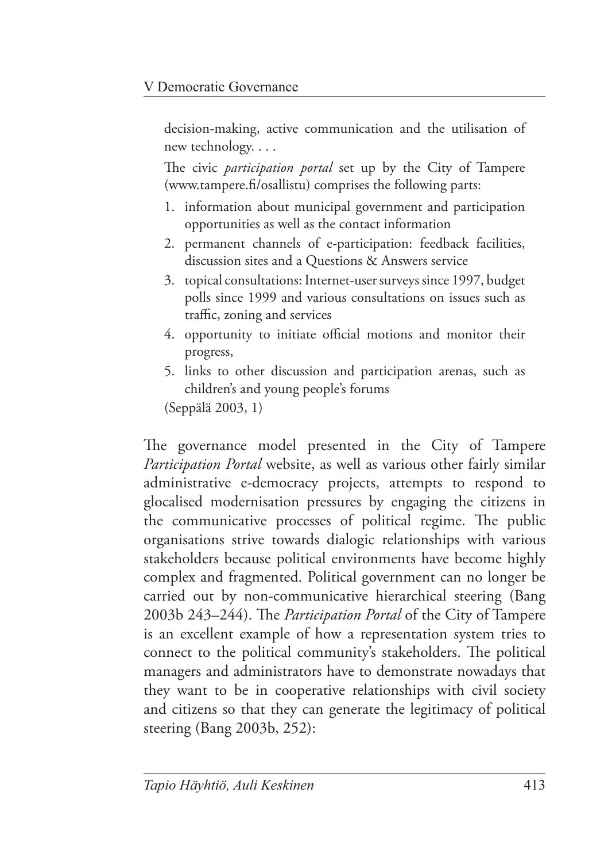decision-making, active communication and the utilisation of new technology. . . .

The civic *participation portal* set up by the City of Tampere (www.tampere.fi/osallistu) comprises the following parts:

- 1. information about municipal government and participation opportunities as well as the contact information
- 2. permanent channels of e-participation: feedback facilities, discussion sites and a Questions & Answers service
- 3. topical consultations: Internet-user surveys since 1997, budget polls since 1999 and various consultations on issues such as traffic, zoning and services
- 4. opportunity to initiate official motions and monitor their progress,
- 5. links to other discussion and participation arenas, such as children's and young people's forums

(Seppälä 2003, 1)

The governance model presented in the City of Tampere *Participation Portal* website, as well as various other fairly similar administrative e-democracy projects, attempts to respond to glocalised modernisation pressures by engaging the citizens in the communicative processes of political regime. The public organisations strive towards dialogic relationships with various stakeholders because political environments have become highly complex and fragmented. Political government can no longer be carried out by non-communicative hierarchical steering (Bang 2003b 243-244). The *Participation Portal* of the City of Tampere is an excellent example of how a representation system tries to connect to the political community's stakeholders. The political managers and administrators have to demonstrate nowadays that they want to be in cooperative relationships with civil society and citizens so that they can generate the legitimacy of political steering (Bang 2003b, 252):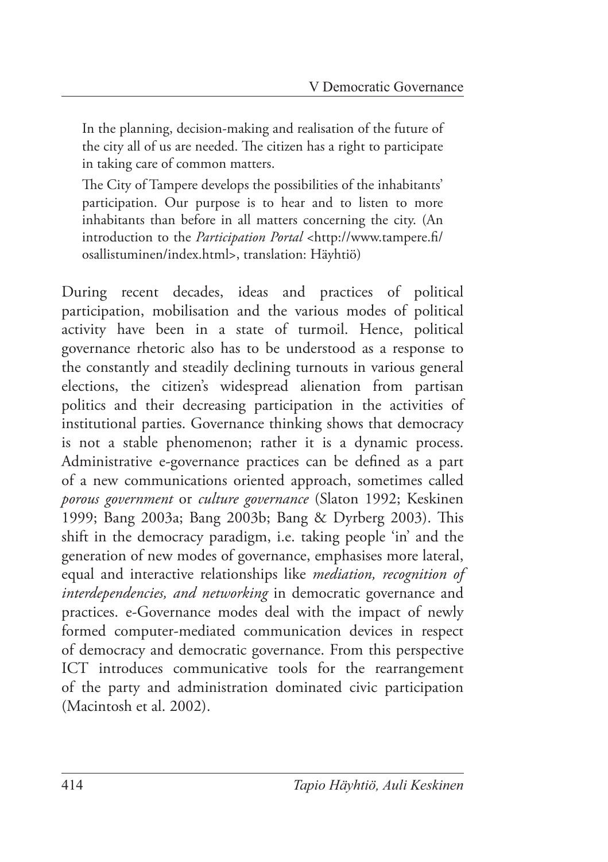In the planning, decision-making and realisation of the future of the city all of us are needed. The citizen has a right to participate in taking care of common matters.

The City of Tampere develops the possibilities of the inhabitants' participation. Our purpose is to hear and to listen to more inhabitants than before in all matters concerning the city. (An introduction to the *Participation Portal* <http://www.tampere.fi/ osallistuminen/index.html>, translation: Häyhtiö)

During recent decades, ideas and practices of political participation, mobilisation and the various modes of political activity have been in a state of turmoil. Hence, political governance rhetoric also has to be understood as a response to the constantly and steadily declining turnouts in various general elections, the citizen's widespread alienation from partisan politics and their decreasing participation in the activities of institutional parties. Governance thinking shows that democracy is not a stable phenomenon; rather it is a dynamic process. Administrative e-governance practices can be defined as a part of a new communications oriented approach, sometimes called *porous government* or *culture governance* (Slaton 1992; Keskinen 1999; Bang 2003a; Bang 2003b; Bang & Dyrberg 2003). This shift in the democracy paradigm, i.e. taking people 'in' and the generation of new modes of governance, emphasises more lateral, equal and interactive relationships like *mediation, recognition of interdependencies, and networking* in democratic governance and practices. e-Governance modes deal with the impact of newly formed computer-mediated communication devices in respect of democracy and democratic governance. From this perspective ICT introduces communicative tools for the rearrangement of the party and administration dominated civic participation (Macintosh et al. 2002).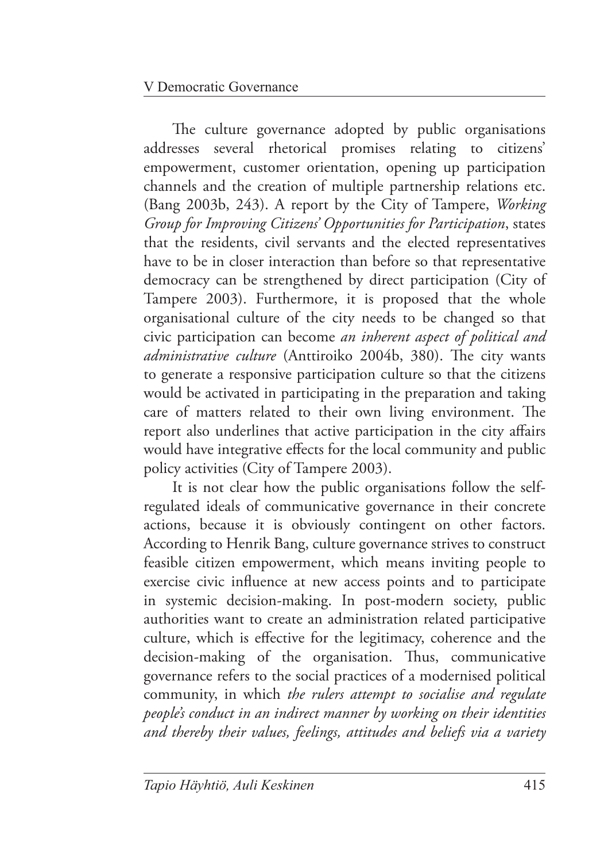The culture governance adopted by public organisations addresses several rhetorical promises relating to citizens' empowerment, customer orientation, opening up participation channels and the creation of multiple partnership relations etc. (Bang 2003b, 243). A report by the City of Tampere, *Working Group for Improving Citizens' Opportunities for Participation*, states that the residents, civil servants and the elected representatives have to be in closer interaction than before so that representative democracy can be strengthened by direct participation (City of Tampere 2003). Furthermore, it is proposed that the whole organisational culture of the city needs to be changed so that civic participation can become *an inherent aspect of political and*  administrative culture (Anttiroiko 2004b, 380). The city wants to generate a responsive participation culture so that the citizens would be activated in participating in the preparation and taking care of matters related to their own living environment. The report also underlines that active participation in the city affairs would have integrative effects for the local community and public policy activities (City of Tampere 2003).

It is not clear how the public organisations follow the selfregulated ideals of communicative governance in their concrete actions, because it is obviously contingent on other factors. According to Henrik Bang, culture governance strives to construct feasible citizen empowerment, which means inviting people to exercise civic influence at new access points and to participate in systemic decision-making. In post-modern society, public authorities want to create an administration related participative culture, which is effective for the legitimacy, coherence and the decision-making of the organisation. Thus, communicative governance refers to the social practices of a modernised political community, in which *the rulers attempt to socialise and regulate people's conduct in an indirect manner by working on their identities and thereby their values, feelings, attitudes and beliefs via a variety*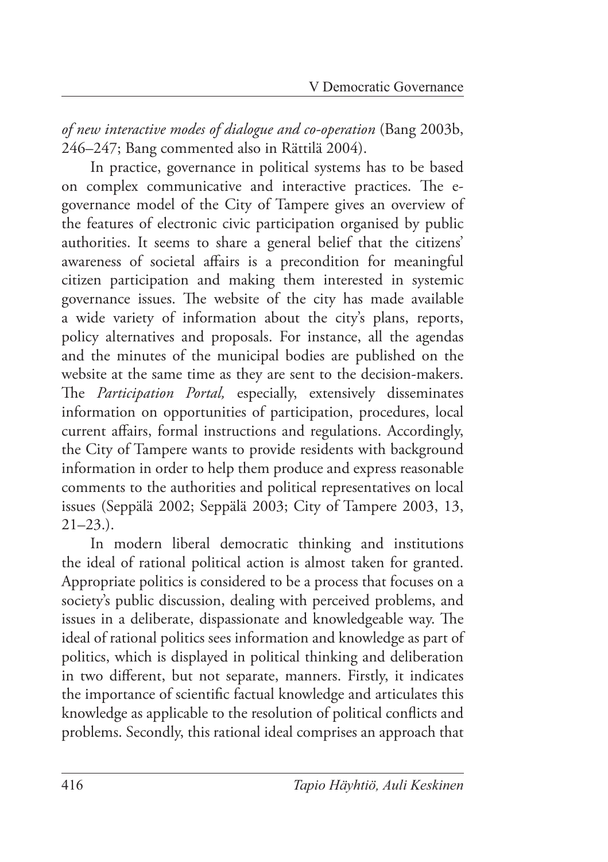*of new interactive modes of dialogue and co-operation* (Bang 2003b, 246–247; Bang commented also in Rättilä 2004).

In practice, governance in political systems has to be based on complex communicative and interactive practices. The egovernance model of the City of Tampere gives an overview of the features of electronic civic participation organised by public authorities. It seems to share a general belief that the citizens' awareness of societal affairs is a precondition for meaningful citizen participation and making them interested in systemic governance issues. The website of the city has made available a wide variety of information about the city's plans, reports, policy alternatives and proposals. For instance, all the agendas and the minutes of the municipal bodies are published on the website at the same time as they are sent to the decision-makers. The *Participation Portal*, especially, extensively disseminates information on opportunities of participation, procedures, local current affairs, formal instructions and regulations. Accordingly, the City of Tampere wants to provide residents with background information in order to help them produce and express reasonable comments to the authorities and political representatives on local issues (Seppälä 2002; Seppälä 2003; City of Tampere 2003, 13,  $21-23.$ ).

In modern liberal democratic thinking and institutions the ideal of rational political action is almost taken for granted. Appropriate politics is considered to be a process that focuses on a society's public discussion, dealing with perceived problems, and issues in a deliberate, dispassionate and knowledgeable way. The ideal of rational politics sees information and knowledge as part of politics, which is displayed in political thinking and deliberation in two different, but not separate, manners. Firstly, it indicates the importance of scientific factual knowledge and articulates this knowledge as applicable to the resolution of political conflicts and problems. Secondly, this rational ideal comprises an approach that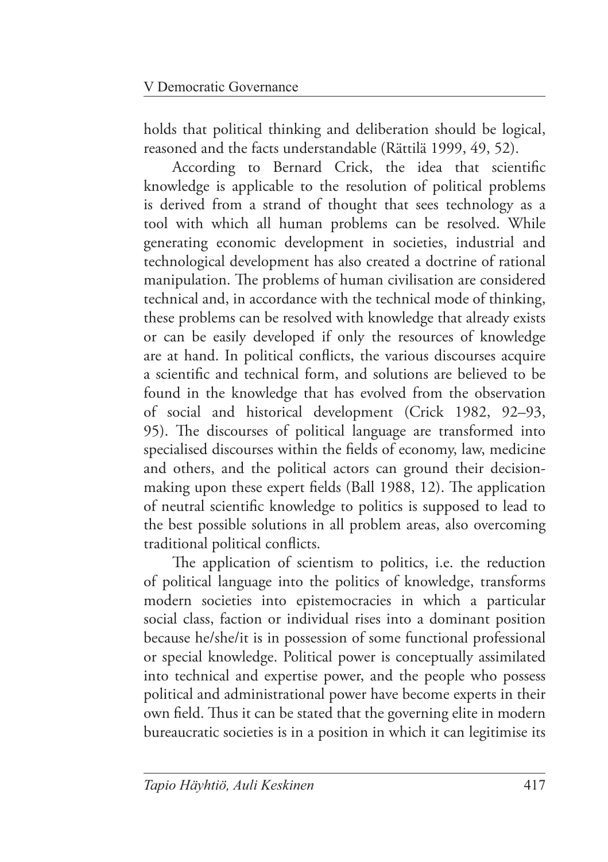holds that political thinking and deliberation should be logical, reasoned and the facts understandable (Rättilä 1999, 49, 52).

According to Bernard Crick, the idea that scientific knowledge is applicable to the resolution of political problems is derived from a strand of thought that sees technology as a tool with which all human problems can be resolved. While generating economic development in societies, industrial and technological development has also created a doctrine of rational manipulation. The problems of human civilisation are considered technical and, in accordance with the technical mode of thinking, these problems can be resolved with knowledge that already exists or can be easily developed if only the resources of knowledge are at hand. In political conflicts, the various discourses acquire a scientific and technical form, and solutions are believed to be found in the knowledge that has evolved from the observation of social and historical development (Crick 1982, 92–93, 95). The discourses of political language are transformed into specialised discourses within the fields of economy, law, medicine and others, and the political actors can ground their decisionmaking upon these expert fields (Ball 1988, 12). The application of neutral scientific knowledge to politics is supposed to lead to the best possible solutions in all problem areas, also overcoming traditional political conflicts.

The application of scientism to politics, i.e. the reduction of political language into the politics of knowledge, transforms modern societies into epistemocracies in which a particular social class, faction or individual rises into a dominant position because he/she/it is in possession of some functional professional or special knowledge. Political power is conceptually assimilated into technical and expertise power, and the people who possess political and administrational power have become experts in their own field. Thus it can be stated that the governing elite in modern bureaucratic societies is in a position in which it can legitimise its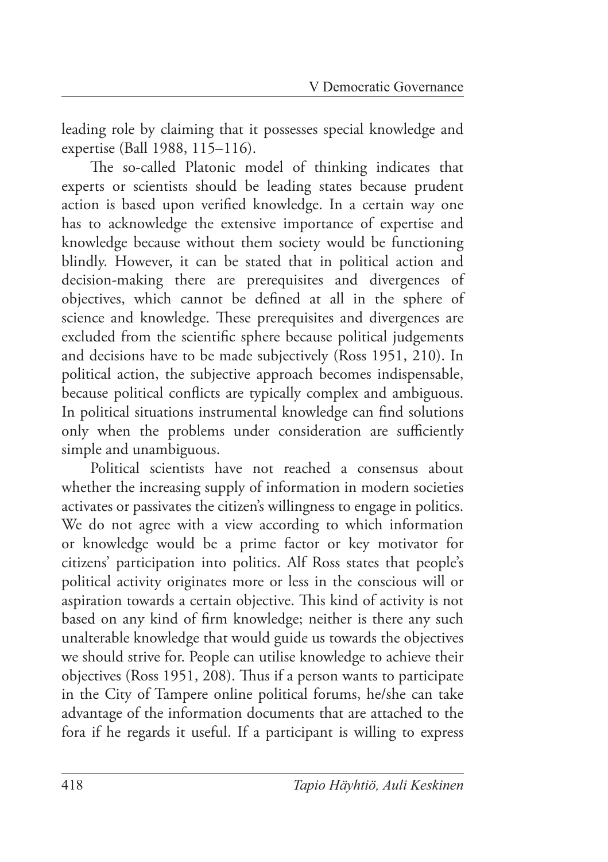leading role by claiming that it possesses special knowledge and expertise (Ball 1988, 115–116).

The so-called Platonic model of thinking indicates that experts or scientists should be leading states because prudent action is based upon verified knowledge. In a certain way one has to acknowledge the extensive importance of expertise and knowledge because without them society would be functioning blindly. However, it can be stated that in political action and decision-making there are prerequisites and divergences of objectives, which cannot be defined at all in the sphere of science and knowledge. These prerequisites and divergences are excluded from the scientific sphere because political judgements and decisions have to be made subjectively (Ross 1951, 210). In political action, the subjective approach becomes indispensable, because political conflicts are typically complex and ambiguous. In political situations instrumental knowledge can find solutions only when the problems under consideration are sufficiently simple and unambiguous.

Political scientists have not reached a consensus about whether the increasing supply of information in modern societies activates or passivates the citizen's willingness to engage in politics. We do not agree with a view according to which information or knowledge would be a prime factor or key motivator for citizens' participation into politics. Alf Ross states that people's political activity originates more or less in the conscious will or aspiration towards a certain objective. This kind of activity is not based on any kind of firm knowledge; neither is there any such unalterable knowledge that would guide us towards the objectives we should strive for. People can utilise knowledge to achieve their objectives (Ross 1951, 208). Thus if a person wants to participate in the City of Tampere online political forums, he/she can take advantage of the information documents that are attached to the fora if he regards it useful. If a participant is willing to express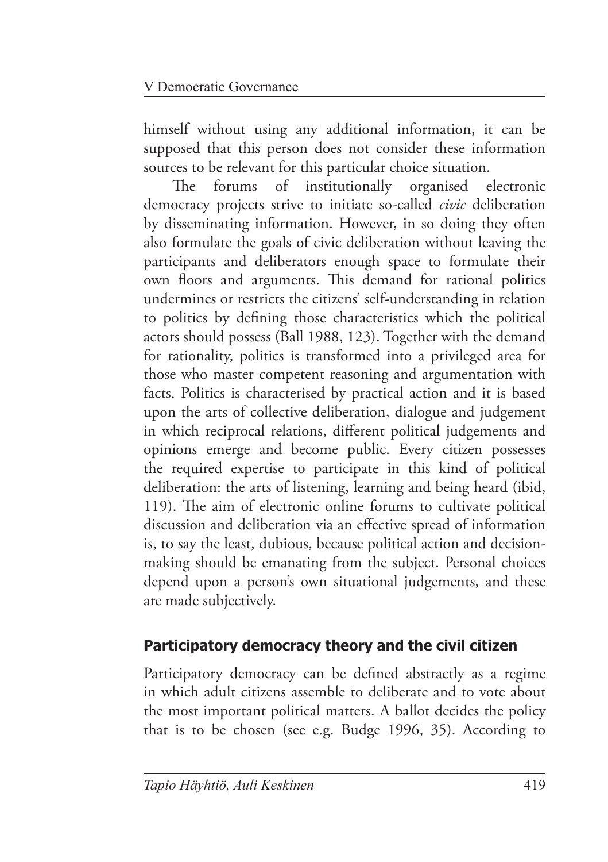himself without using any additional information, it can be supposed that this person does not consider these information sources to be relevant for this particular choice situation.

The forums of institutionally organised electronic democracy projects strive to initiate so-called *civic* deliberation by disseminating information. However, in so doing they often also formulate the goals of civic deliberation without leaving the participants and deliberators enough space to formulate their own floors and arguments. This demand for rational politics undermines or restricts the citizens' self-understanding in relation to politics by defining those characteristics which the political actors should possess (Ball 1988, 123). Together with the demand for rationality, politics is transformed into a privileged area for those who master competent reasoning and argumentation with facts. Politics is characterised by practical action and it is based upon the arts of collective deliberation, dialogue and judgement in which reciprocal relations, different political judgements and opinions emerge and become public. Every citizen possesses the required expertise to participate in this kind of political deliberation: the arts of listening, learning and being heard (ibid, 119). The aim of electronic online forums to cultivate political discussion and deliberation via an effective spread of information is, to say the least, dubious, because political action and decisionmaking should be emanating from the subject. Personal choices depend upon a person's own situational judgements, and these are made subjectively.

## **Participatory democracy theory and the civil citizen**

Participatory democracy can be defined abstractly as a regime in which adult citizens assemble to deliberate and to vote about the most important political matters. A ballot decides the policy that is to be chosen (see e.g. Budge 1996, 35). According to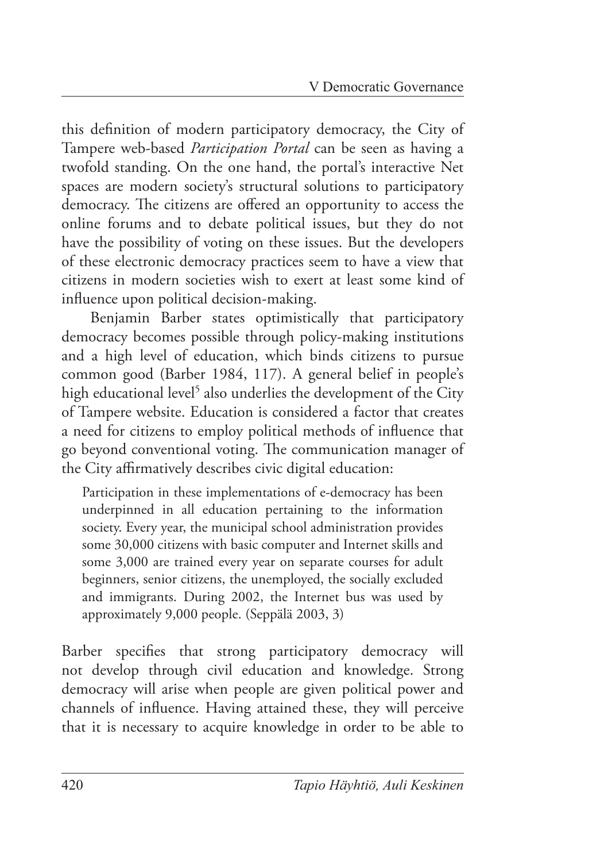this definition of modern participatory democracy, the City of Tampere web-based *Participation Portal* can be seen as having a twofold standing. On the one hand, the portal's interactive Net spaces are modern society's structural solutions to participatory democracy. The citizens are offered an opportunity to access the online forums and to debate political issues, but they do not have the possibility of voting on these issues. But the developers of these electronic democracy practices seem to have a view that citizens in modern societies wish to exert at least some kind of influence upon political decision-making.

Benjamin Barber states optimistically that participatory democracy becomes possible through policy-making institutions and a high level of education, which binds citizens to pursue common good (Barber 1984, 117). A general belief in people's high educational level<sup>5</sup> also underlies the development of the City of Tampere website. Education is considered a factor that creates a need for citizens to employ political methods of influence that go beyond conventional voting. The communication manager of the City affirmatively describes civic digital education:

 Participation in these implementations of e-democracy has been underpinned in all education pertaining to the information society. Every year, the municipal school administration provides some 30,000 citizens with basic computer and Internet skills and some 3,000 are trained every year on separate courses for adult beginners, senior citizens, the unemployed, the socially excluded and immigrants. During 2002, the Internet bus was used by approximately 9,000 people. (Seppälä 2003, 3)

Barber specifies that strong participatory democracy will not develop through civil education and knowledge. Strong democracy will arise when people are given political power and channels of influence. Having attained these, they will perceive that it is necessary to acquire knowledge in order to be able to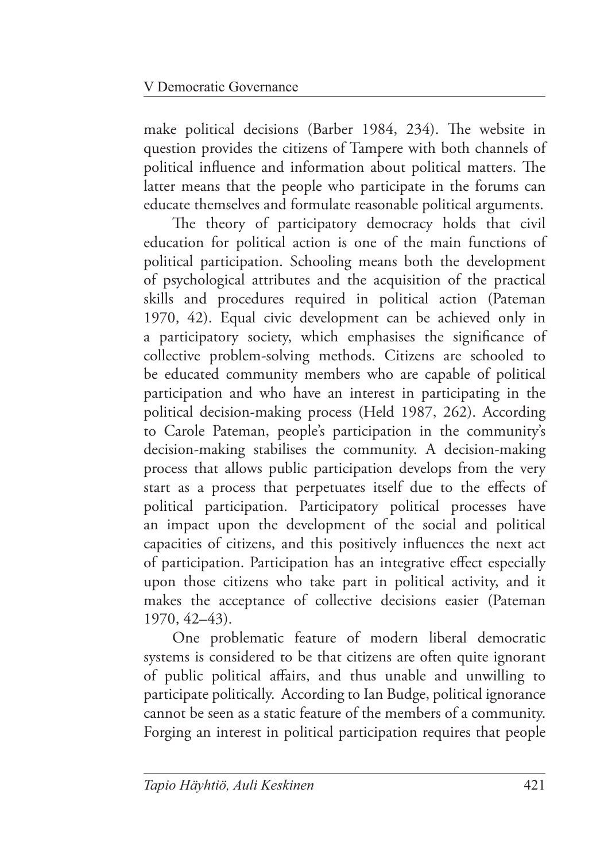make political decisions (Barber 1984, 234). The website in question provides the citizens of Tampere with both channels of political influence and information about political matters. The latter means that the people who participate in the forums can educate themselves and formulate reasonable political arguments.

The theory of participatory democracy holds that civil education for political action is one of the main functions of political participation. Schooling means both the development of psychological attributes and the acquisition of the practical skills and procedures required in political action (Pateman 1970, 42). Equal civic development can be achieved only in a participatory society, which emphasises the significance of collective problem-solving methods. Citizens are schooled to be educated community members who are capable of political participation and who have an interest in participating in the political decision-making process (Held 1987, 262). According to Carole Pateman, people's participation in the community's decision-making stabilises the community. A decision-making process that allows public participation develops from the very start as a process that perpetuates itself due to the effects of political participation. Participatory political processes have an impact upon the development of the social and political capacities of citizens, and this positively influences the next act of participation. Participation has an integrative effect especially upon those citizens who take part in political activity, and it makes the acceptance of collective decisions easier (Pateman 1970, 42–43).

One problematic feature of modern liberal democratic systems is considered to be that citizens are often quite ignorant of public political affairs, and thus unable and unwilling to participate politically. According to Ian Budge, political ignorance cannot be seen as a static feature of the members of a community. Forging an interest in political participation requires that people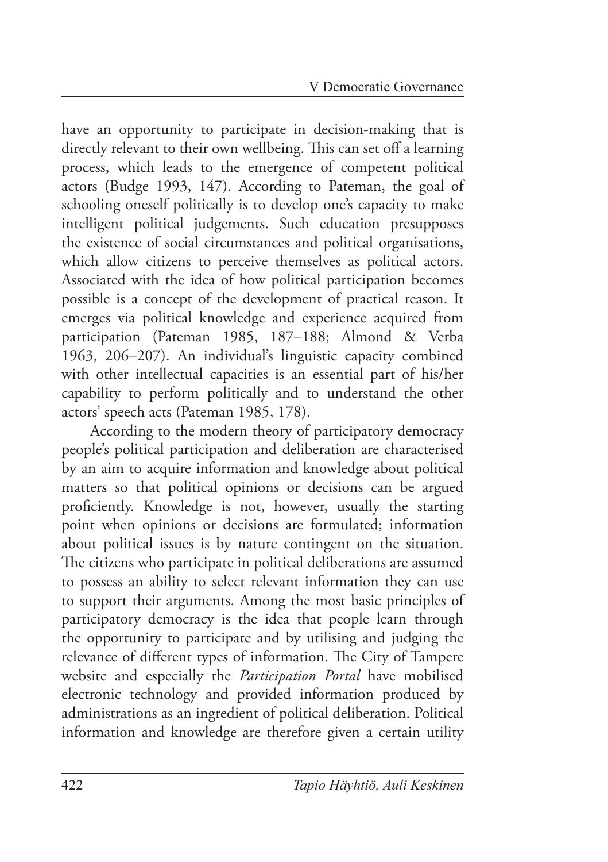have an opportunity to participate in decision-making that is directly relevant to their own wellbeing. This can set off a learning process, which leads to the emergence of competent political actors (Budge 1993, 147). According to Pateman, the goal of schooling oneself politically is to develop one's capacity to make intelligent political judgements. Such education presupposes the existence of social circumstances and political organisations, which allow citizens to perceive themselves as political actors. Associated with the idea of how political participation becomes possible is a concept of the development of practical reason. It emerges via political knowledge and experience acquired from participation (Pateman 1985, 187–188; Almond & Verba 1963, 206–207). An individual's linguistic capacity combined with other intellectual capacities is an essential part of his/her capability to perform politically and to understand the other actors' speech acts (Pateman 1985, 178).

According to the modern theory of participatory democracy people's political participation and deliberation are characterised by an aim to acquire information and knowledge about political matters so that political opinions or decisions can be argued proficiently. Knowledge is not, however, usually the starting point when opinions or decisions are formulated; information about political issues is by nature contingent on the situation. The citizens who participate in political deliberations are assumed to possess an ability to select relevant information they can use to support their arguments. Among the most basic principles of participatory democracy is the idea that people learn through the opportunity to participate and by utilising and judging the relevance of different types of information. The City of Tampere website and especially the *Participation Portal* have mobilised electronic technology and provided information produced by administrations as an ingredient of political deliberation. Political information and knowledge are therefore given a certain utility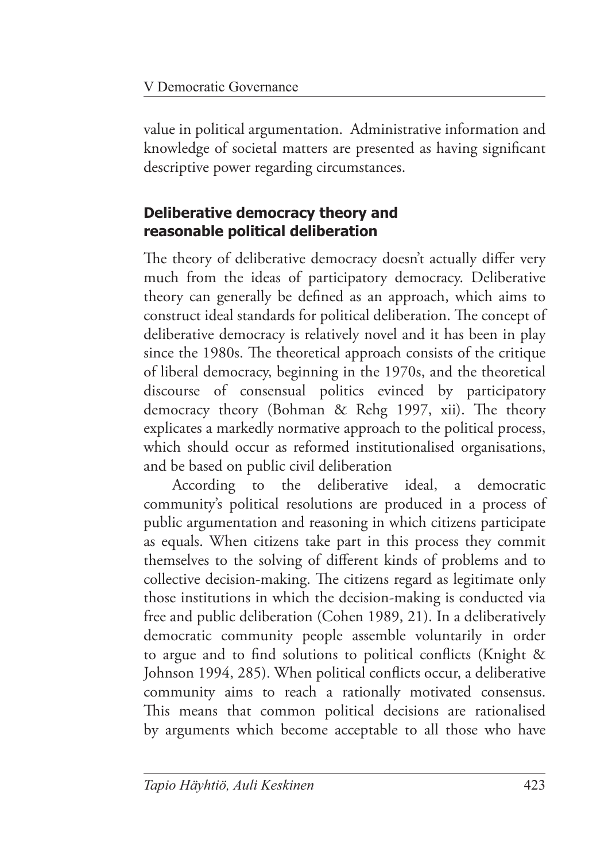value in political argumentation. Administrative information and knowledge of societal matters are presented as having significant descriptive power regarding circumstances.

## **Deliberative democracy theory and reasonable political deliberation**

The theory of deliberative democracy doesn't actually differ very much from the ideas of participatory democracy. Deliberative theory can generally be defined as an approach, which aims to construct ideal standards for political deliberation. The concept of deliberative democracy is relatively novel and it has been in play since the 1980s. The theoretical approach consists of the critique of liberal democracy, beginning in the 1970s, and the theoretical discourse of consensual politics evinced by participatory democracy theory (Bohman  $\&$  Rehg 1997, xii). The theory explicates a markedly normative approach to the political process, which should occur as reformed institutionalised organisations, and be based on public civil deliberation

According to the deliberative ideal, a democratic community's political resolutions are produced in a process of public argumentation and reasoning in which citizens participate as equals. When citizens take part in this process they commit themselves to the solving of different kinds of problems and to collective decision-making. The citizens regard as legitimate only those institutions in which the decision-making is conducted via free and public deliberation (Cohen 1989, 21). In a deliberatively democratic community people assemble voluntarily in order to argue and to find solutions to political conflicts (Knight & Johnson 1994, 285). When political conflicts occur, a deliberative community aims to reach a rationally motivated consensus. This means that common political decisions are rationalised by arguments which become acceptable to all those who have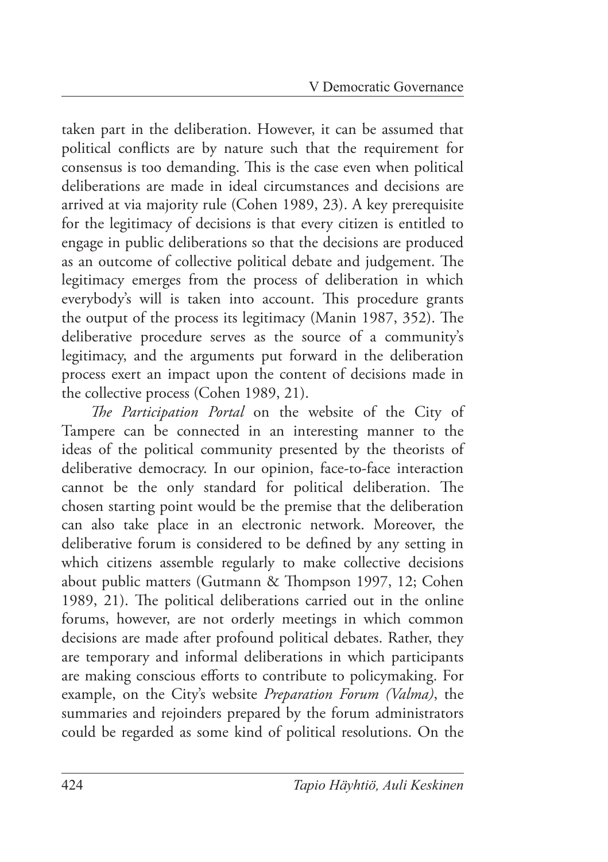taken part in the deliberation. However, it can be assumed that political conflicts are by nature such that the requirement for consensus is too demanding. This is the case even when political deliberations are made in ideal circumstances and decisions are arrived at via majority rule (Cohen 1989, 23). A key prerequisite for the legitimacy of decisions is that every citizen is entitled to engage in public deliberations so that the decisions are produced as an outcome of collective political debate and judgement. The legitimacy emerges from the process of deliberation in which everybody's will is taken into account. This procedure grants the output of the process its legitimacy (Manin 1987, 352). The deliberative procedure serves as the source of a community's legitimacy, and the arguments put forward in the deliberation process exert an impact upon the content of decisions made in the collective process (Cohen 1989, 21).

The Participation Portal on the website of the City of Tampere can be connected in an interesting manner to the ideas of the political community presented by the theorists of deliberative democracy. In our opinion, face-to-face interaction cannot be the only standard for political deliberation. The chosen starting point would be the premise that the deliberation can also take place in an electronic network. Moreover, the deliberative forum is considered to be defined by any setting in which citizens assemble regularly to make collective decisions about public matters (Gutmann & Thompson 1997, 12; Cohen 1989, 21). The political deliberations carried out in the online forums, however, are not orderly meetings in which common decisions are made after profound political debates. Rather, they are temporary and informal deliberations in which participants are making conscious efforts to contribute to policymaking. For example, on the City's website *Preparation Forum (Valma)*, the summaries and rejoinders prepared by the forum administrators could be regarded as some kind of political resolutions. On the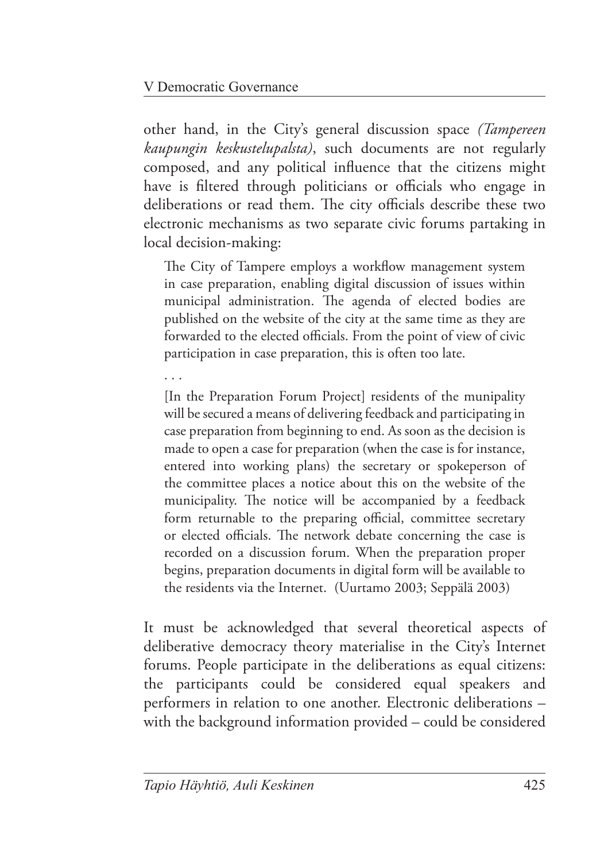other hand, in the City's general discussion space *(Tampereen kaupungin keskustelupalsta)*, such documents are not regularly composed, and any political influence that the citizens might have is filtered through politicians or officials who engage in deliberations or read them. The city officials describe these two electronic mechanisms as two separate civic forums partaking in local decision-making:

The City of Tampere employs a workflow management system in case preparation, enabling digital discussion of issues within municipal administration. The agenda of elected bodies are published on the website of the city at the same time as they are forwarded to the elected officials. From the point of view of civic participation in case preparation, this is often too late.

. . .

 [In the Preparation Forum Project] residents of the munipality will be secured a means of delivering feedback and participating in case preparation from beginning to end. As soon as the decision is made to open a case for preparation (when the case is for instance, entered into working plans) the secretary or spokeperson of the committee places a notice about this on the website of the municipality. The notice will be accompanied by a feedback form returnable to the preparing official, committee secretary or elected officials. The network debate concerning the case is recorded on a discussion forum. When the preparation proper begins, preparation documents in digital form will be available to the residents via the Internet. (Uurtamo 2003; Seppälä 2003)

It must be acknowledged that several theoretical aspects of deliberative democracy theory materialise in the City's Internet forums. People participate in the deliberations as equal citizens: the participants could be considered equal speakers and performers in relation to one another. Electronic deliberations – with the background information provided – could be considered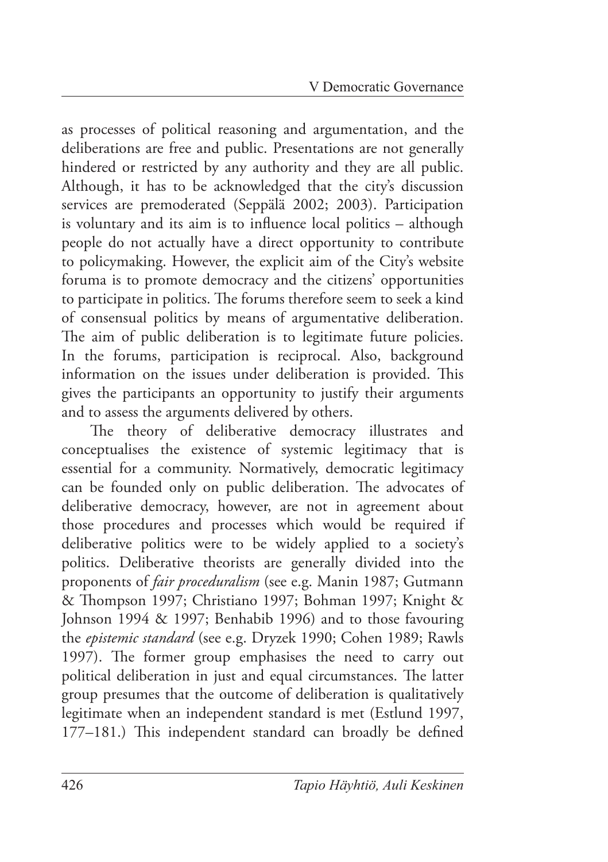as processes of political reasoning and argumentation, and the deliberations are free and public. Presentations are not generally hindered or restricted by any authority and they are all public. Although, it has to be acknowledged that the city's discussion services are premoderated (Seppälä 2002; 2003). Participation is voluntary and its aim is to influence local politics – although people do not actually have a direct opportunity to contribute to policymaking. However, the explicit aim of the City's website foruma is to promote democracy and the citizens' opportunities to participate in politics. The forums therefore seem to seek a kind of consensual politics by means of argumentative deliberation. The aim of public deliberation is to legitimate future policies. In the forums, participation is reciprocal. Also, background information on the issues under deliberation is provided. This gives the participants an opportunity to justify their arguments and to assess the arguments delivered by others.

The theory of deliberative democracy illustrates and conceptualises the existence of systemic legitimacy that is essential for a community. Normatively, democratic legitimacy can be founded only on public deliberation. The advocates of deliberative democracy, however, are not in agreement about those procedures and processes which would be required if deliberative politics were to be widely applied to a society's politics. Deliberative theorists are generally divided into the proponents of *fair proceduralism* (see e.g. Manin 1987; Gutmann & Thompson 1997; Christiano 1997; Bohman 1997; Knight & Johnson 1994 & 1997; Benhabib 1996) and to those favouring the *epistemic standard* (see e.g. Dryzek 1990; Cohen 1989; Rawls 1997). The former group emphasises the need to carry out political deliberation in just and equal circumstances. The latter group presumes that the outcome of deliberation is qualitatively legitimate when an independent standard is met (Estlund 1997, 177–181.) This independent standard can broadly be defined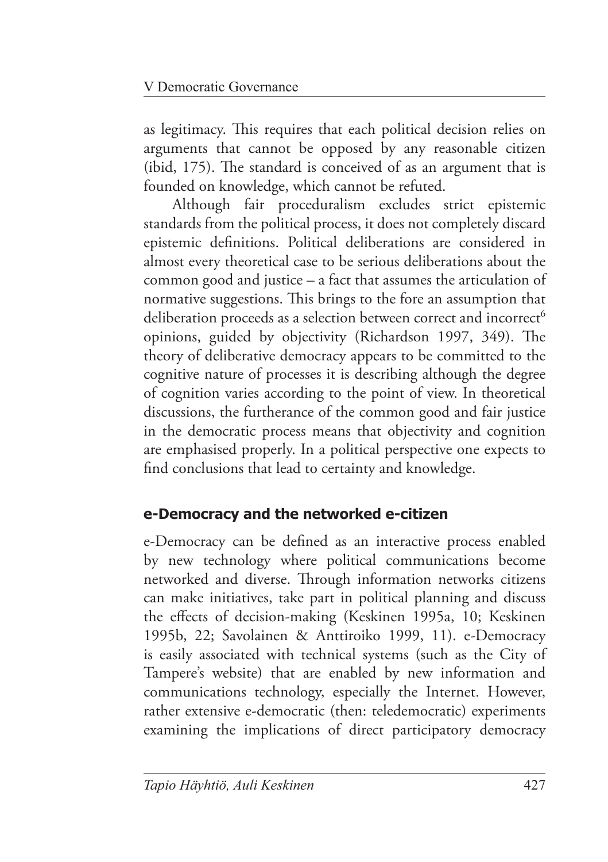as legitimacy. This requires that each political decision relies on arguments that cannot be opposed by any reasonable citizen (ibid,  $175$ ). The standard is conceived of as an argument that is founded on knowledge, which cannot be refuted.

Although fair proceduralism excludes strict epistemic standards from the political process, it does not completely discard epistemic definitions. Political deliberations are considered in almost every theoretical case to be serious deliberations about the common good and justice – a fact that assumes the articulation of normative suggestions. This brings to the fore an assumption that deliberation proceeds as a selection between correct and incorrect<sup>6</sup> opinions, guided by objectivity (Richardson 1997, 349). The theory of deliberative democracy appears to be committed to the cognitive nature of processes it is describing although the degree of cognition varies according to the point of view. In theoretical discussions, the furtherance of the common good and fair justice in the democratic process means that objectivity and cognition are emphasised properly. In a political perspective one expects to find conclusions that lead to certainty and knowledge.

## **e-Democracy and the networked e-citizen**

e-Democracy can be defined as an interactive process enabled by new technology where political communications become networked and diverse. Through information networks citizens can make initiatives, take part in political planning and discuss the effects of decision-making (Keskinen 1995a, 10; Keskinen 1995b, 22; Savolainen & Anttiroiko 1999, 11). e-Democracy is easily associated with technical systems (such as the City of Tampere's website) that are enabled by new information and communications technology, especially the Internet. However, rather extensive e-democratic (then: teledemocratic) experiments examining the implications of direct participatory democracy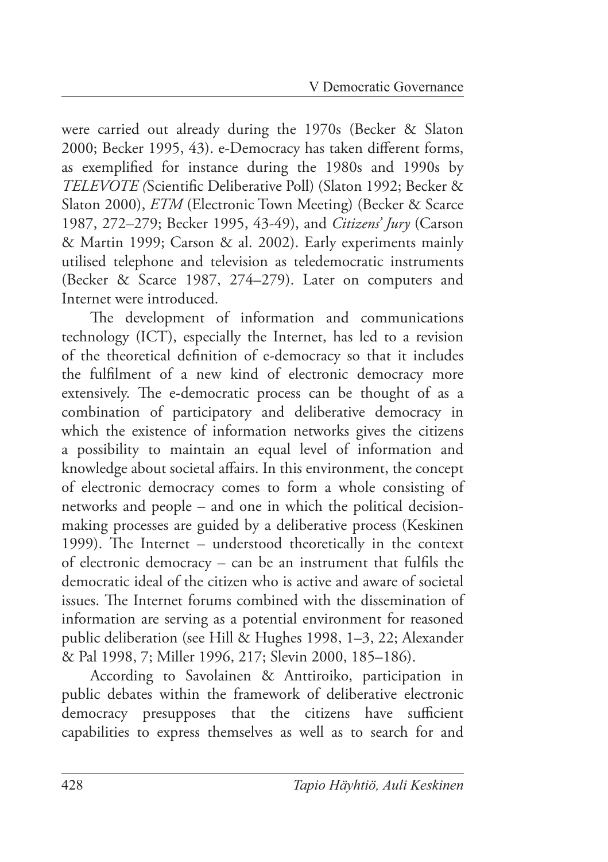were carried out already during the 1970s (Becker & Slaton 2000; Becker 1995, 43). e-Democracy has taken different forms, as exemplified for instance during the 1980s and 1990s by *TELEVOTE (Scientific Deliberative Poll) (Slaton 1992; Becker &* Slaton 2000), *ETM* (Electronic Town Meeting) (Becker & Scarce 1987, 272–279; Becker 1995, 43-49), and *Citizens' Jury* (Carson & Martin 1999; Carson & al. 2002). Early experiments mainly utilised telephone and television as teledemocratic instruments (Becker & Scarce 1987, 274–279). Later on computers and Internet were introduced.

The development of information and communications technology (ICT), especially the Internet, has led to a revision of the theoretical definition of e-democracy so that it includes the fulfilment of a new kind of electronic democracy more extensively. The e-democratic process can be thought of as a combination of participatory and deliberative democracy in which the existence of information networks gives the citizens a possibility to maintain an equal level of information and knowledge about societal affairs. In this environment, the concept of electronic democracy comes to form a whole consisting of networks and people – and one in which the political decisionmaking processes are guided by a deliberative process (Keskinen 1999). The Internet – understood theoretically in the context of electronic democracy – can be an instrument that fulfils the democratic ideal of the citizen who is active and aware of societal issues. The Internet forums combined with the dissemination of information are serving as a potential environment for reasoned public deliberation (see Hill & Hughes 1998, 1–3, 22; Alexander & Pal 1998, 7; Miller 1996, 217; Slevin 2000, 185–186).

According to Savolainen & Anttiroiko, participation in public debates within the framework of deliberative electronic democracy presupposes that the citizens have sufficient capabilities to express themselves as well as to search for and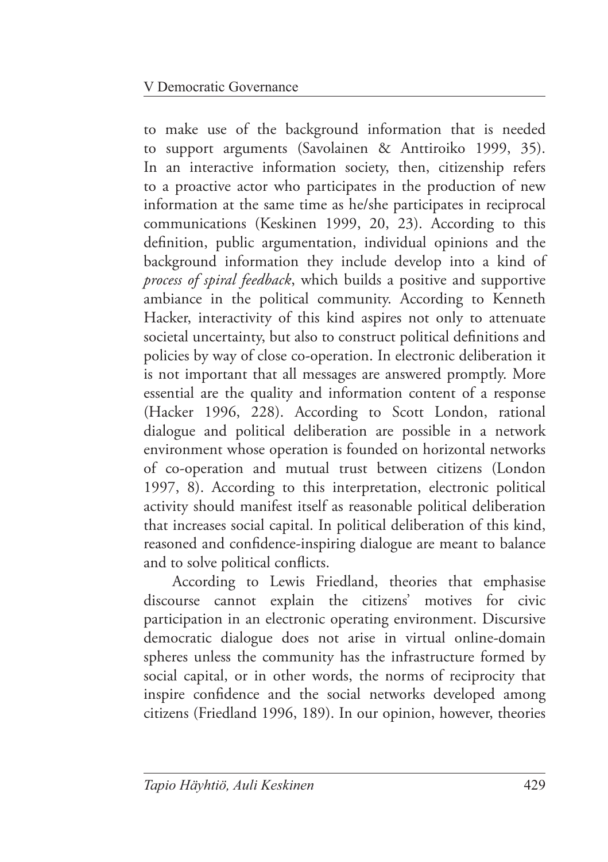to make use of the background information that is needed to support arguments (Savolainen & Anttiroiko 1999, 35). In an interactive information society, then, citizenship refers to a proactive actor who participates in the production of new information at the same time as he/she participates in reciprocal communications (Keskinen 1999, 20, 23). According to this definition, public argumentation, individual opinions and the background information they include develop into a kind of *process of spiral feedback*, which builds a positive and supportive ambiance in the political community. According to Kenneth Hacker, interactivity of this kind aspires not only to attenuate societal uncertainty, but also to construct political definitions and policies by way of close co-operation. In electronic deliberation it is not important that all messages are answered promptly. More essential are the quality and information content of a response (Hacker 1996, 228). According to Scott London, rational dialogue and political deliberation are possible in a network environment whose operation is founded on horizontal networks of co-operation and mutual trust between citizens (London 1997, 8). According to this interpretation, electronic political activity should manifest itself as reasonable political deliberation that increases social capital. In political deliberation of this kind, reasoned and confidence-inspiring dialogue are meant to balance and to solve political conflicts.

According to Lewis Friedland, theories that emphasise discourse cannot explain the citizens' motives for civic participation in an electronic operating environment. Discursive democratic dialogue does not arise in virtual online-domain spheres unless the community has the infrastructure formed by social capital, or in other words, the norms of reciprocity that inspire confidence and the social networks developed among citizens (Friedland 1996, 189). In our opinion, however, theories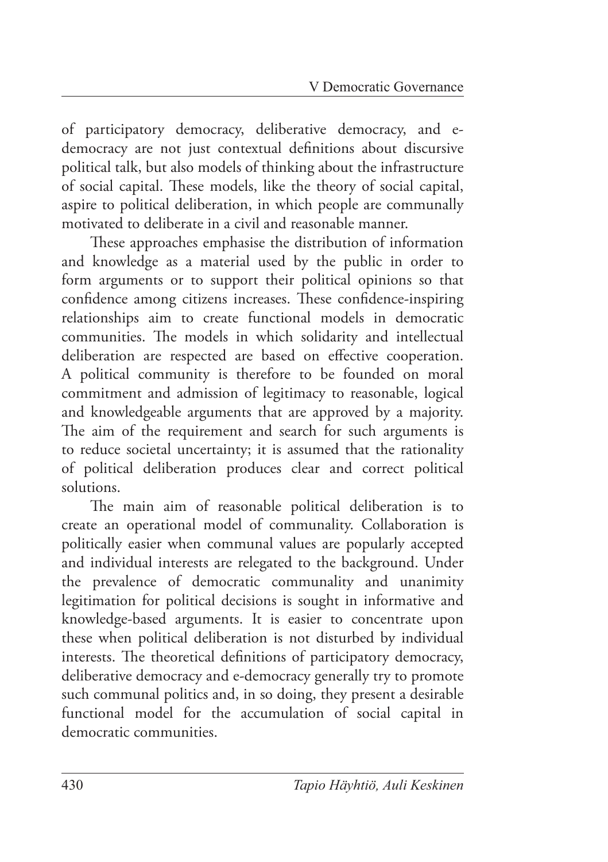of participatory democracy, deliberative democracy, and edemocracy are not just contextual definitions about discursive political talk, but also models of thinking about the infrastructure of social capital. These models, like the theory of social capital, aspire to political deliberation, in which people are communally motivated to deliberate in a civil and reasonable manner.

These approaches emphasise the distribution of information and knowledge as a material used by the public in order to form arguments or to support their political opinions so that confidence among citizens increases. These confidence-inspiring relationships aim to create functional models in democratic communities. The models in which solidarity and intellectual deliberation are respected are based on effective cooperation. A political community is therefore to be founded on moral commitment and admission of legitimacy to reasonable, logical and knowledgeable arguments that are approved by a majority. The aim of the requirement and search for such arguments is to reduce societal uncertainty; it is assumed that the rationality of political deliberation produces clear and correct political solutions.

The main aim of reasonable political deliberation is to create an operational model of communality. Collaboration is politically easier when communal values are popularly accepted and individual interests are relegated to the background. Under the prevalence of democratic communality and unanimity legitimation for political decisions is sought in informative and knowledge-based arguments. It is easier to concentrate upon these when political deliberation is not disturbed by individual interests. The theoretical definitions of participatory democracy, deliberative democracy and e-democracy generally try to promote such communal politics and, in so doing, they present a desirable functional model for the accumulation of social capital in democratic communities.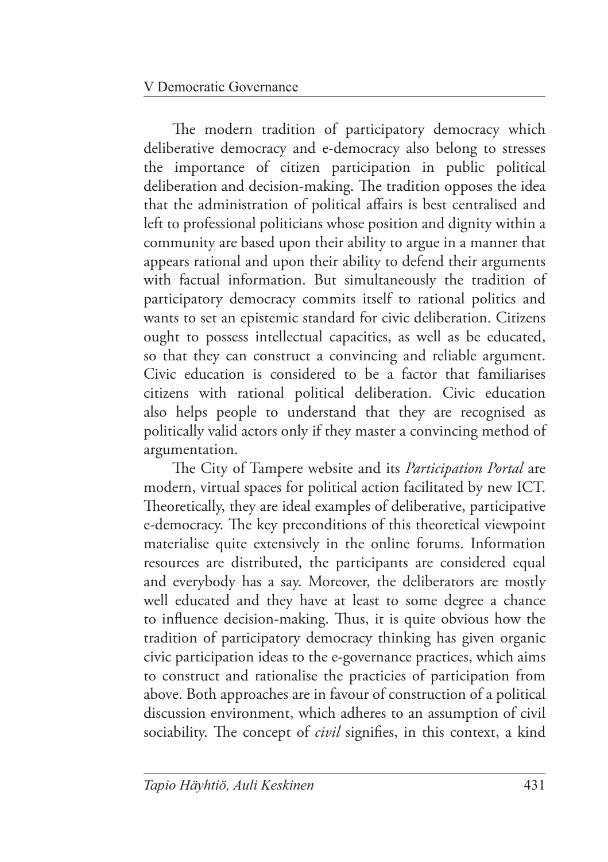The modern tradition of participatory democracy which deliberative democracy and e-democracy also belong to stresses the importance of citizen participation in public political deliberation and decision-making. The tradition opposes the idea that the administration of political affairs is best centralised and left to professional politicians whose position and dignity within a community are based upon their ability to argue in a manner that appears rational and upon their ability to defend their arguments with factual information. But simultaneously the tradition of participatory democracy commits itself to rational politics and wants to set an epistemic standard for civic deliberation. Citizens ought to possess intellectual capacities, as well as be educated, so that they can construct a convincing and reliable argument. Civic education is considered to be a factor that familiarises citizens with rational political deliberation. Civic education also helps people to understand that they are recognised as politically valid actors only if they master a convincing method of argumentation.

The City of Tampere website and its *Participation Portal* are modern, virtual spaces for political action facilitated by new ICT. Theoretically, they are ideal examples of deliberative, participative e-democracy. The key preconditions of this theoretical viewpoint materialise quite extensively in the online forums. Information resources are distributed, the participants are considered equal and everybody has a say. Moreover, the deliberators are mostly well educated and they have at least to some degree a chance to influence decision-making. Thus, it is quite obvious how the tradition of participatory democracy thinking has given organic civic participation ideas to the e-governance practices, which aims to construct and rationalise the practicies of participation from above. Both approaches are in favour of construction of a political discussion environment, which adheres to an assumption of civil sociability. The concept of *civil* signifies, in this context, a kind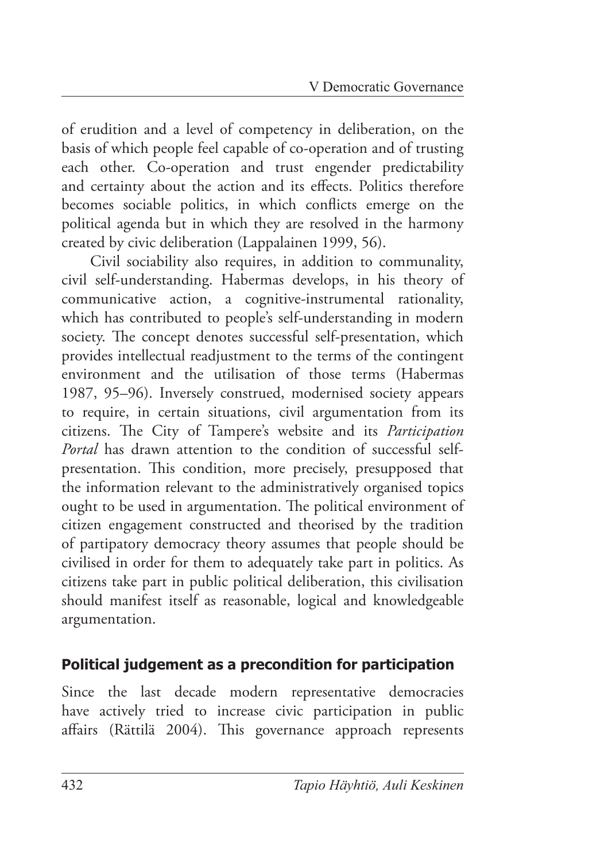of erudition and a level of competency in deliberation, on the basis of which people feel capable of co-operation and of trusting each other. Co-operation and trust engender predictability and certainty about the action and its effects. Politics therefore becomes sociable politics, in which conflicts emerge on the political agenda but in which they are resolved in the harmony created by civic deliberation (Lappalainen 1999, 56).

Civil sociability also requires, in addition to communality, civil self-understanding. Habermas develops, in his theory of communicative action, a cognitive-instrumental rationality, which has contributed to people's self-understanding in modern society. The concept denotes successful self-presentation, which provides intellectual readjustment to the terms of the contingent environment and the utilisation of those terms (Habermas 1987, 95–96). Inversely construed, modernised society appears to require, in certain situations, civil argumentation from its citizens. The City of Tampere's website and its *Participation Portal* has drawn attention to the condition of successful selfpresentation. This condition, more precisely, presupposed that the information relevant to the administratively organised topics ought to be used in argumentation. The political environment of citizen engagement constructed and theorised by the tradition of partipatory democracy theory assumes that people should be civilised in order for them to adequately take part in politics. As citizens take part in public political deliberation, this civilisation should manifest itself as reasonable, logical and knowledgeable argumentation.

#### **Political judgement as a precondition for participation**

Since the last decade modern representative democracies have actively tried to increase civic participation in public affairs (Rättilä 2004). This governance approach represents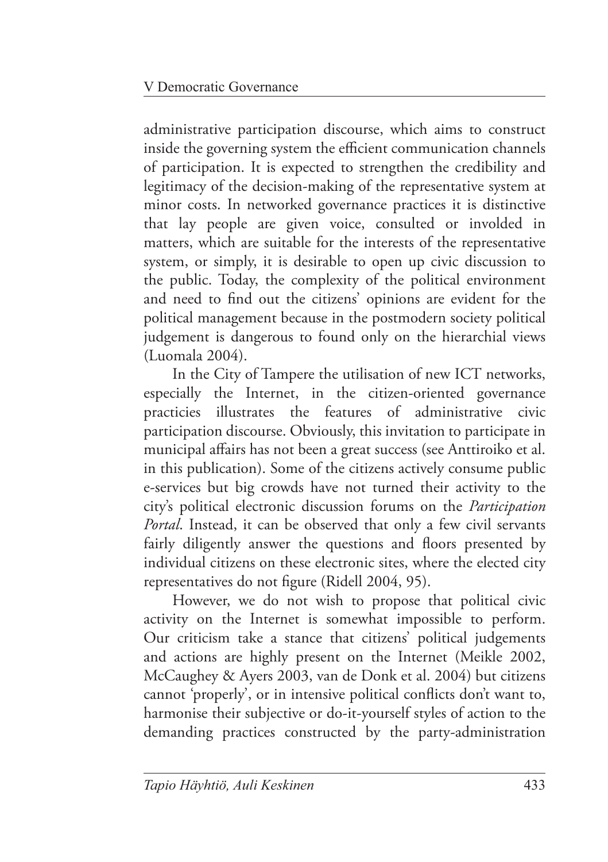administrative participation discourse, which aims to construct inside the governing system the efficient communication channels of participation. It is expected to strengthen the credibility and legitimacy of the decision-making of the representative system at minor costs. In networked governance practices it is distinctive that lay people are given voice, consulted or involded in matters, which are suitable for the interests of the representative system, or simply, it is desirable to open up civic discussion to the public. Today, the complexity of the political environment and need to find out the citizens' opinions are evident for the political management because in the postmodern society political judgement is dangerous to found only on the hierarchial views (Luomala 2004).

In the City of Tampere the utilisation of new ICT networks, especially the Internet, in the citizen-oriented governance practicies illustrates the features of administrative civic participation discourse. Obviously, this invitation to participate in municipal affairs has not been a great success (see Anttiroiko et al. in this publication). Some of the citizens actively consume public e-services but big crowds have not turned their activity to the city's political electronic discussion forums on the *Participation Portal*. Instead, it can be observed that only a few civil servants fairly diligently answer the questions and floors presented by individual citizens on these electronic sites, where the elected city representatives do not figure (Ridell 2004, 95).

However, we do not wish to propose that political civic activity on the Internet is somewhat impossible to perform. Our criticism take a stance that citizens' political judgements and actions are highly present on the Internet (Meikle 2002, McCaughey & Ayers 2003, van de Donk et al. 2004) but citizens cannot 'properly', or in intensive political conflicts don't want to, harmonise their subjective or do-it-yourself styles of action to the demanding practices constructed by the party-administration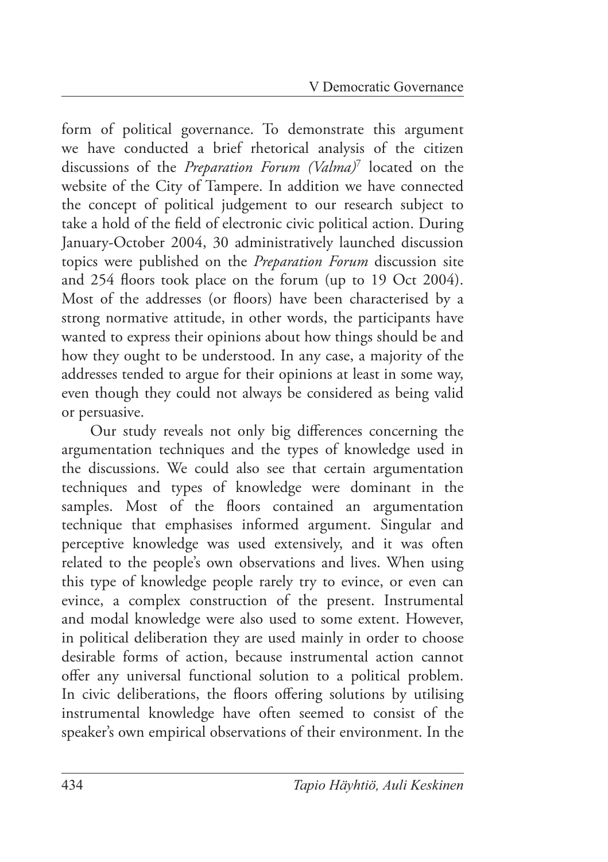form of political governance. To demonstrate this argument we have conducted a brief rhetorical analysis of the citizen discussions of the *Preparation Forum (Valma)*<sup>7</sup> located on the website of the City of Tampere. In addition we have connected the concept of political judgement to our research subject to take a hold of the field of electronic civic political action. During January-October 2004, 30 administratively launched discussion topics were published on the *Preparation Forum* discussion site and 254 floors took place on the forum (up to 19 Oct 2004). Most of the addresses (or floors) have been characterised by a strong normative attitude, in other words, the participants have wanted to express their opinions about how things should be and how they ought to be understood. In any case, a majority of the addresses tended to argue for their opinions at least in some way, even though they could not always be considered as being valid or persuasive.

Our study reveals not only big differences concerning the argumentation techniques and the types of knowledge used in the discussions. We could also see that certain argumentation techniques and types of knowledge were dominant in the samples. Most of the floors contained an argumentation technique that emphasises informed argument. Singular and perceptive knowledge was used extensively, and it was often related to the people's own observations and lives. When using this type of knowledge people rarely try to evince, or even can evince, a complex construction of the present. Instrumental and modal knowledge were also used to some extent. However, in political deliberation they are used mainly in order to choose desirable forms of action, because instrumental action cannot offer any universal functional solution to a political problem. In civic deliberations, the floors offering solutions by utilising instrumental knowledge have often seemed to consist of the speaker's own empirical observations of their environment. In the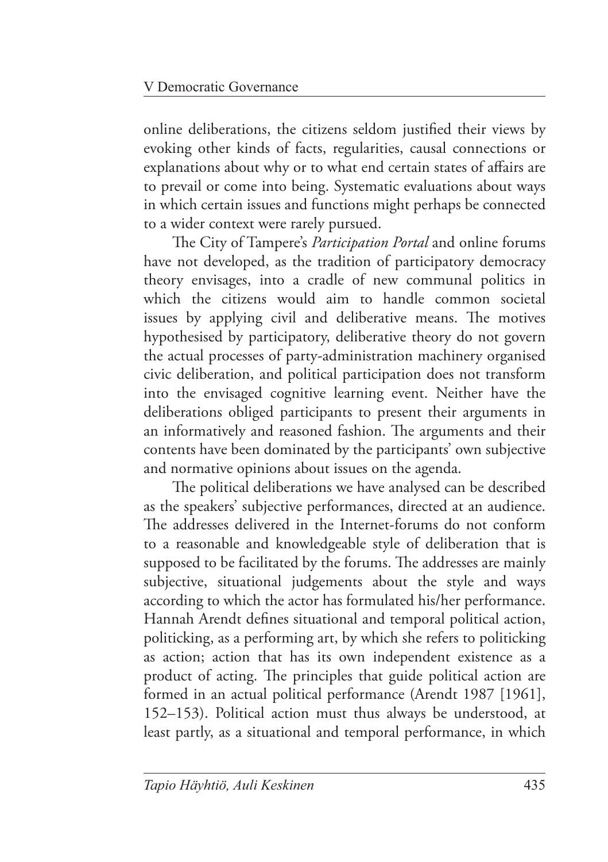online deliberations, the citizens seldom justified their views by evoking other kinds of facts, regularities, causal connections or explanations about why or to what end certain states of affairs are to prevail or come into being. Systematic evaluations about ways in which certain issues and functions might perhaps be connected to a wider context were rarely pursued.

The City of Tampere's *Participation Portal* and online forums have not developed, as the tradition of participatory democracy theory envisages, into a cradle of new communal politics in which the citizens would aim to handle common societal issues by applying civil and deliberative means. The motives hypothesised by participatory, deliberative theory do not govern the actual processes of party-administration machinery organised civic deliberation, and political participation does not transform into the envisaged cognitive learning event. Neither have the deliberations obliged participants to present their arguments in an informatively and reasoned fashion. The arguments and their contents have been dominated by the participants' own subjective and normative opinions about issues on the agenda.

The political deliberations we have analysed can be described as the speakers' subjective performances, directed at an audience. The addresses delivered in the Internet-forums do not conform to a reasonable and knowledgeable style of deliberation that is supposed to be facilitated by the forums. The addresses are mainly subjective, situational judgements about the style and ways according to which the actor has formulated his/her performance. Hannah Arendt defines situational and temporal political action, politicking, as a performing art, by which she refers to politicking as action; action that has its own independent existence as a product of acting. The principles that guide political action are formed in an actual political performance (Arendt 1987 [1961], 152–153). Political action must thus always be understood, at least partly, as a situational and temporal performance, in which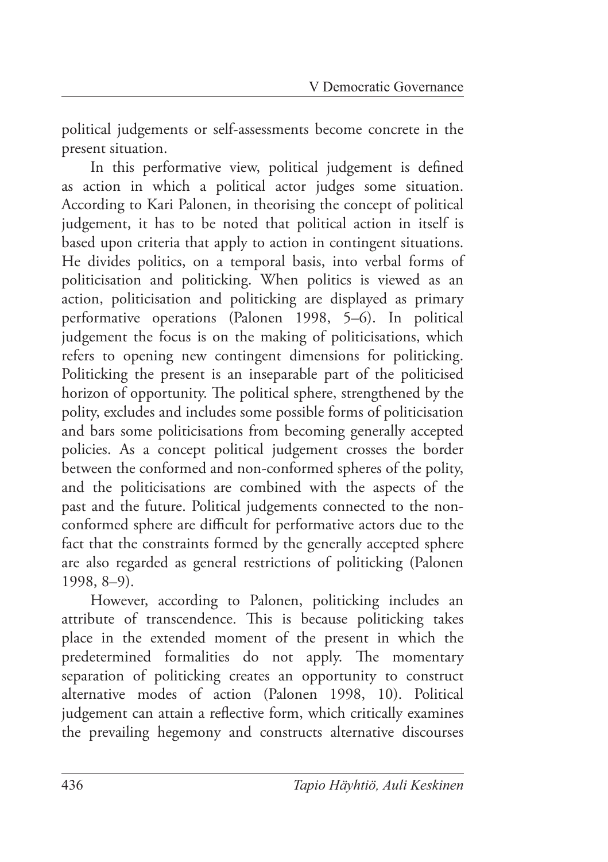political judgements or self-assessments become concrete in the present situation.

In this performative view, political judgement is defined as action in which a political actor judges some situation. According to Kari Palonen, in theorising the concept of political judgement, it has to be noted that political action in itself is based upon criteria that apply to action in contingent situations. He divides politics, on a temporal basis, into verbal forms of politicisation and politicking. When politics is viewed as an action, politicisation and politicking are displayed as primary performative operations (Palonen 1998, 5–6). In political judgement the focus is on the making of politicisations, which refers to opening new contingent dimensions for politicking. Politicking the present is an inseparable part of the politicised horizon of opportunity. The political sphere, strengthened by the polity, excludes and includes some possible forms of politicisation and bars some politicisations from becoming generally accepted policies. As a concept political judgement crosses the border between the conformed and non-conformed spheres of the polity, and the politicisations are combined with the aspects of the past and the future. Political judgements connected to the nonconformed sphere are difficult for performative actors due to the fact that the constraints formed by the generally accepted sphere are also regarded as general restrictions of politicking (Palonen 1998, 8–9).

However, according to Palonen, politicking includes an attribute of transcendence. This is because politicking takes place in the extended moment of the present in which the predetermined formalities do not apply. The momentary separation of politicking creates an opportunity to construct alternative modes of action (Palonen 1998, 10). Political judgement can attain a reflective form, which critically examines the prevailing hegemony and constructs alternative discourses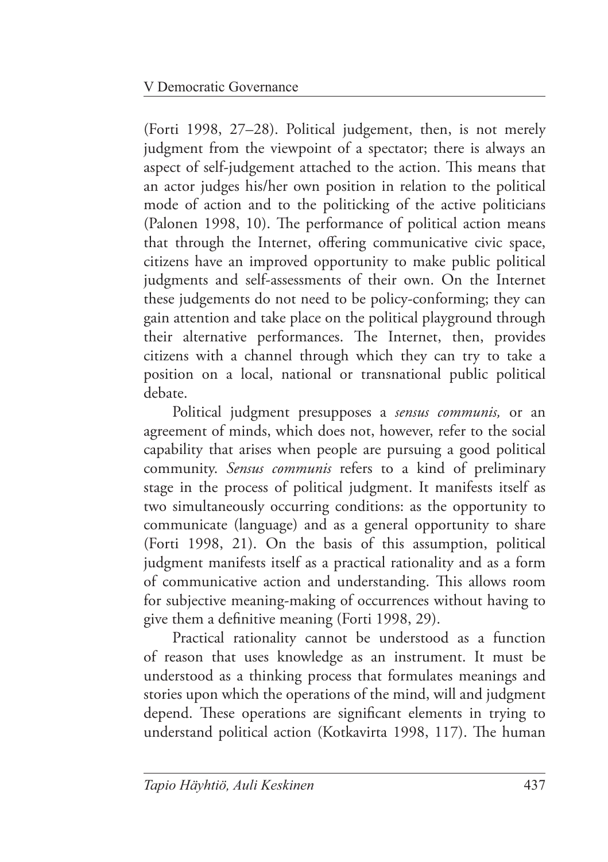(Forti 1998, 27–28). Political judgement, then, is not merely judgment from the viewpoint of a spectator; there is always an aspect of self-judgement attached to the action. This means that an actor judges his/her own position in relation to the political mode of action and to the politicking of the active politicians (Palonen 1998, 10). The performance of political action means that through the Internet, offering communicative civic space, citizens have an improved opportunity to make public political judgments and self-assessments of their own. On the Internet these judgements do not need to be policy-conforming; they can gain attention and take place on the political playground through their alternative performances. The Internet, then, provides citizens with a channel through which they can try to take a position on a local, national or transnational public political debate.

Political judgment presupposes a *sensus communis,* or an agreement of minds, which does not, however, refer to the social capability that arises when people are pursuing a good political community. *Sensus communis* refers to a kind of preliminary stage in the process of political judgment. It manifests itself as two simultaneously occurring conditions: as the opportunity to communicate (language) and as a general opportunity to share (Forti 1998, 21). On the basis of this assumption, political judgment manifests itself as a practical rationality and as a form of communicative action and understanding. This allows room for subjective meaning-making of occurrences without having to give them a definitive meaning (Forti 1998, 29).

Practical rationality cannot be understood as a function of reason that uses knowledge as an instrument. It must be understood as a thinking process that formulates meanings and stories upon which the operations of the mind, will and judgment depend. These operations are significant elements in trying to understand political action (Kotkavirta 1998, 117). The human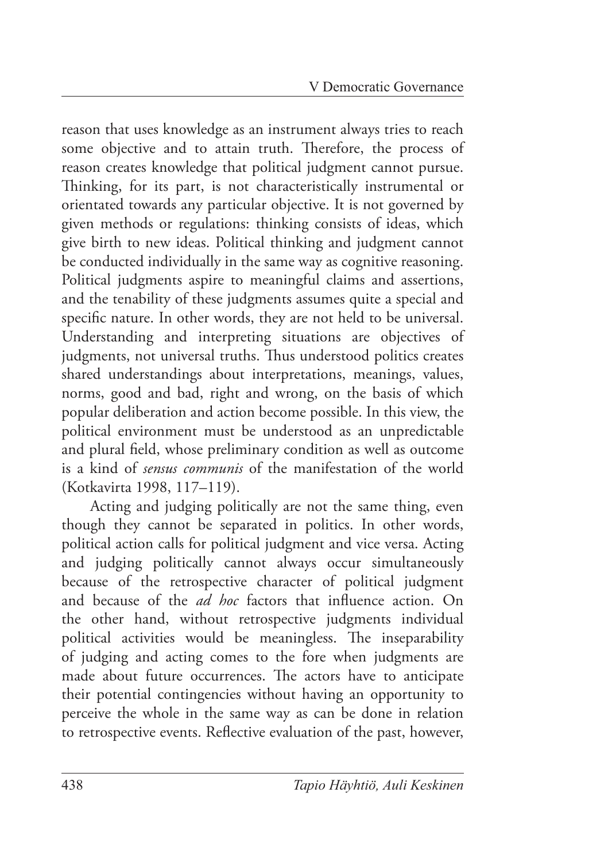reason that uses knowledge as an instrument always tries to reach some objective and to attain truth. Therefore, the process of reason creates knowledge that political judgment cannot pursue. Thinking, for its part, is not characteristically instrumental or orientated towards any particular objective. It is not governed by given methods or regulations: thinking consists of ideas, which give birth to new ideas. Political thinking and judgment cannot be conducted individually in the same way as cognitive reasoning. Political judgments aspire to meaningful claims and assertions, and the tenability of these judgments assumes quite a special and specific nature. In other words, they are not held to be universal. Understanding and interpreting situations are objectives of judgments, not universal truths. Thus understood politics creates shared understandings about interpretations, meanings, values, norms, good and bad, right and wrong, on the basis of which popular deliberation and action become possible. In this view, the political environment must be understood as an unpredictable and plural field, whose preliminary condition as well as outcome is a kind of *sensus communis* of the manifestation of the world (Kotkavirta 1998, 117–119).

Acting and judging politically are not the same thing, even though they cannot be separated in politics. In other words, political action calls for political judgment and vice versa. Acting and judging politically cannot always occur simultaneously because of the retrospective character of political judgment and because of the *ad hoc* factors that influence action. On the other hand, without retrospective judgments individual political activities would be meaningless. The inseparability of judging and acting comes to the fore when judgments are made about future occurrences. The actors have to anticipate their potential contingencies without having an opportunity to perceive the whole in the same way as can be done in relation to retrospective events. Reflective evaluation of the past, however,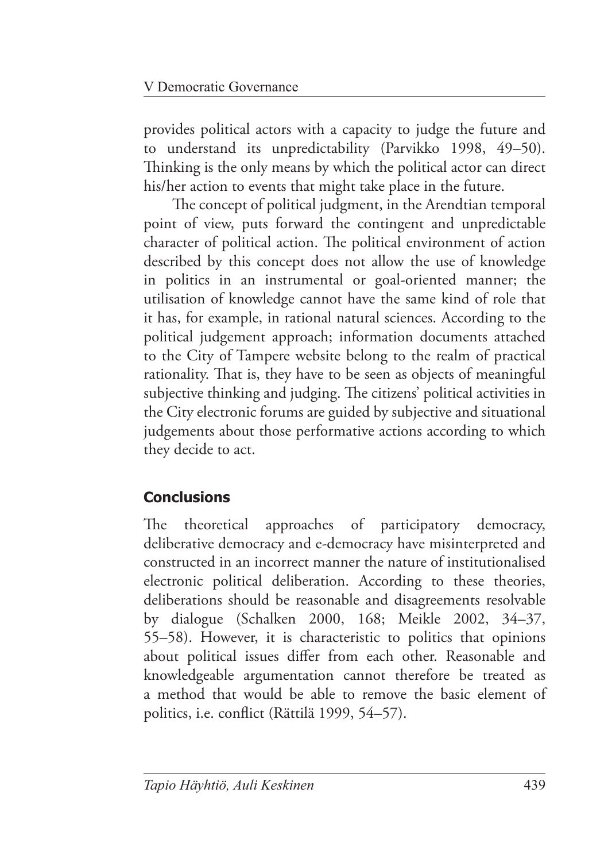provides political actors with a capacity to judge the future and to understand its unpredictability (Parvikko 1998, 49–50). Thinking is the only means by which the political actor can direct his/her action to events that might take place in the future.

The concept of political judgment, in the Arendtian temporal point of view, puts forward the contingent and unpredictable character of political action. The political environment of action described by this concept does not allow the use of knowledge in politics in an instrumental or goal-oriented manner; the utilisation of knowledge cannot have the same kind of role that it has, for example, in rational natural sciences. According to the political judgement approach; information documents attached to the City of Tampere website belong to the realm of practical rationality. That is, they have to be seen as objects of meaningful subjective thinking and judging. The citizens' political activities in the City electronic forums are guided by subjective and situational judgements about those performative actions according to which they decide to act.

# **Conclusions**

The theoretical approaches of participatory democracy, deliberative democracy and e-democracy have misinterpreted and constructed in an incorrect manner the nature of institutionalised electronic political deliberation. According to these theories, deliberations should be reasonable and disagreements resolvable by dialogue (Schalken 2000, 168; Meikle 2002, 34–37, 55–58). However, it is characteristic to politics that opinions about political issues differ from each other. Reasonable and knowledgeable argumentation cannot therefore be treated as a method that would be able to remove the basic element of politics, i.e. conflict (Rättilä 1999, 54–57).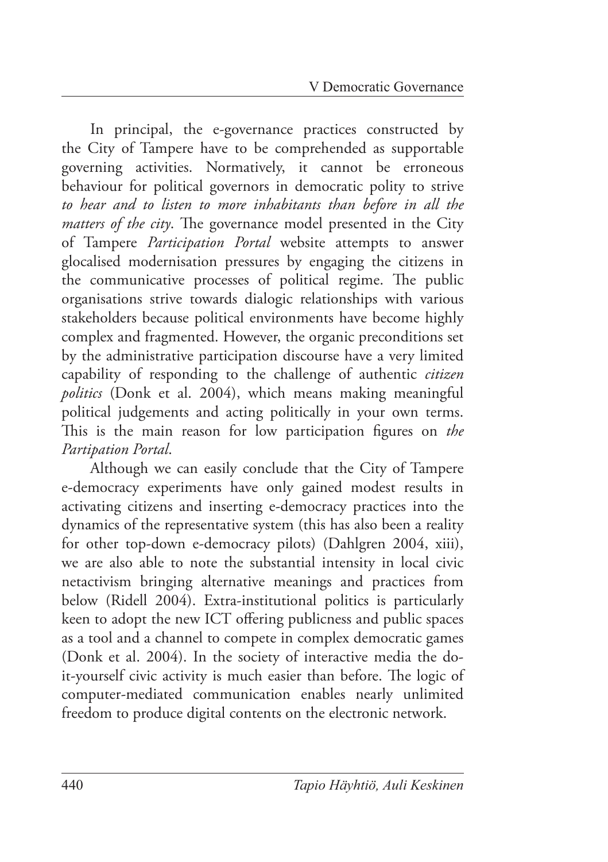In principal, the e-governance practices constructed by the City of Tampere have to be comprehended as supportable governing activities. Normatively, it cannot be erroneous behaviour for political governors in democratic polity to strive *to hear and to listen to more inhabitants than before in all the matters of the city*. The governance model presented in the City of Tampere *Participation Portal* website attempts to answer glocalised modernisation pressures by engaging the citizens in the communicative processes of political regime. The public organisations strive towards dialogic relationships with various stakeholders because political environments have become highly complex and fragmented. However, the organic preconditions set by the administrative participation discourse have a very limited capability of responding to the challenge of authentic *citizen politics* (Donk et al. 2004), which means making meaningful political judgements and acting politically in your own terms. This is the main reason for low participation figures on *the Partipation Portal*.

Although we can easily conclude that the City of Tampere e-democracy experiments have only gained modest results in activating citizens and inserting e-democracy practices into the dynamics of the representative system (this has also been a reality for other top-down e-democracy pilots) (Dahlgren 2004, xiii), we are also able to note the substantial intensity in local civic netactivism bringing alternative meanings and practices from below (Ridell 2004). Extra-institutional politics is particularly keen to adopt the new ICT offering publicness and public spaces as a tool and a channel to compete in complex democratic games (Donk et al. 2004). In the society of interactive media the doit-yourself civic activity is much easier than before. The logic of computer-mediated communication enables nearly unlimited freedom to produce digital contents on the electronic network.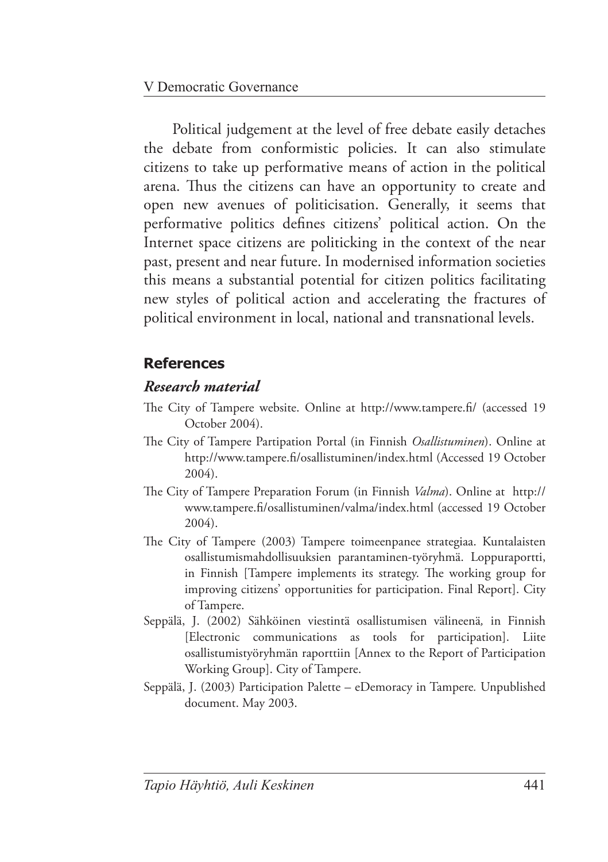Political judgement at the level of free debate easily detaches the debate from conformistic policies. It can also stimulate citizens to take up performative means of action in the political arena. Thus the citizens can have an opportunity to create and open new avenues of politicisation. Generally, it seems that performative politics defines citizens' political action. On the Internet space citizens are politicking in the context of the near past, present and near future. In modernised information societies this means a substantial potential for citizen politics facilitating new styles of political action and accelerating the fractures of political environment in local, national and transnational levels.

## **References**

#### *Research material*

- The City of Tampere website. Online at http://www.tampere.fi/ (accessed 19 October 2004).
- The City of Tampere Partipation Portal (in Finnish *Osallistuminen*). Online at http://www.tampere.fi/osallistuminen/index.html (Accessed 19 October 2004).
- The City of Tampere Preparation Forum (in Finnish *Valma*). Online at [http://](http://www.tampere.fi/osallistuminen/valma/index.html) www.tampere.fi/osallistuminen/valma/index.html (accessed 19 October 2004).
- The City of Tampere (2003) Tampere toimeenpanee strategiaa. Kuntalaisten osallistumismahdollisuuksien parantaminen-työryhmä. Loppuraportti, in Finnish [Tampere implements its strategy. The working group for improving citizens' opportunities for participation. Final Report]. City of Tampere.
- Seppälä, J. (2002) Sähköinen viestintä osallistumisen välineenä*,* in Finnish [Electronic communications as tools for participation]. Liite osallistumistyöryhmän raporttiin [Annex to the Report of Participation Working Group]. City of Tampere.
- Seppälä, J. (2003) Participation Palette eDemoracy in Tampere*.* Unpublished document. May 2003.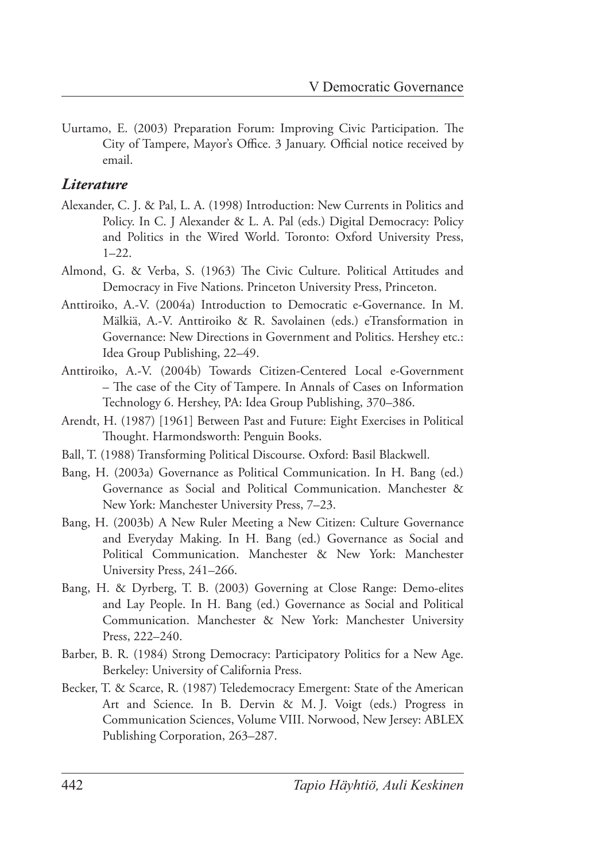Uurtamo, E. (2003) Preparation Forum: Improving Civic Participation. The City of Tampere, Mayor's Office. 3 January. Official notice received by email.

#### *Literature*

- Alexander, C. J. & Pal, L. A. (1998) Introduction: New Currents in Politics and Policy. In C. J Alexander & L. A. Pal (eds.) Digital Democracy: Policy and Politics in the Wired World. Toronto: Oxford University Press,  $1 - 22$
- Almond, G. & Verba, S. (1963) The Civic Culture. Political Attitudes and Democracy in Five Nations. Princeton University Press, Princeton.
- Anttiroiko, A.-V. (2004a) Introduction to Democratic e-Governance. In M. Mälkiä, A.-V. Anttiroiko & R. Savolainen (eds.) eTransformation in Governance: New Directions in Government and Politics. Hershey etc.: Idea Group Publishing, 22–49.
- Anttiroiko, A.-V. (2004b) Towards Citizen-Centered Local e-Government – The case of the City of Tampere. In Annals of Cases on Information Technology 6. Hershey, PA: Idea Group Publishing, 370–386.
- Arendt, H. (1987) [1961] Between Past and Future: Eight Exercises in Political Thought. Harmondsworth: Penguin Books.
- Ball, T. (1988) Transforming Political Discourse. Oxford: Basil Blackwell.
- Bang, H. (2003a) Governance as Political Communication. In H. Bang (ed.) Governance as Social and Political Communication. Manchester & New York: Manchester University Press, 7–23.
- Bang, H. (2003b) A New Ruler Meeting a New Citizen: Culture Governance and Everyday Making. In H. Bang (ed.) Governance as Social and Political Communication. Manchester & New York: Manchester University Press, 241–266.
- Bang, H. & Dyrberg, T. B. (2003) Governing at Close Range: Demo-elites and Lay People. In H. Bang (ed.) Governance as Social and Political Communication. Manchester & New York: Manchester University Press, 222–240.
- Barber, B. R. (1984) Strong Democracy: Participatory Politics for a New Age. Berkeley: University of California Press.
- Becker, T. & Scarce, R. (1987) Teledemocracy Emergent: State of the American Art and Science. In B. Dervin & M. J. Voigt (eds.) Progress in Communication Sciences, Volume VIII. Norwood, New Jersey: ABLEX Publishing Corporation, 263–287.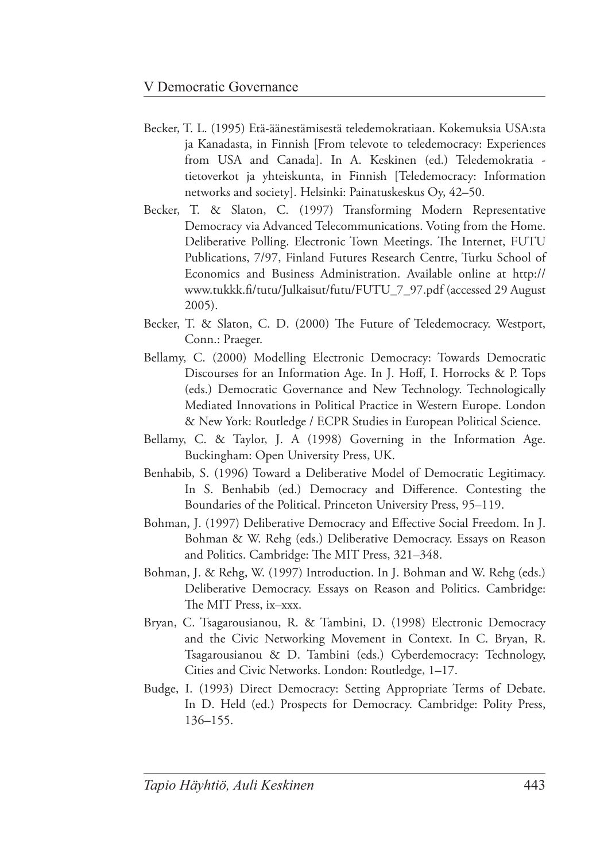- Becker, T. L. (1995) Etä-äänestämisestä teledemokratiaan. Kokemuksia USA:sta ja Kanadasta, in Finnish [From televote to teledemocracy: Experiences from USA and Canada]. In A. Keskinen (ed.) Teledemokratia tietoverkot ja yhteiskunta, in Finnish [Teledemocracy: Information networks and society]. Helsinki: Painatuskeskus Oy, 42–50.
- Becker, T. & Slaton, C. (1997) Transforming Modern Representative Democracy via Advanced Telecommunications. Voting from the Home. Deliberative Polling. Electronic Town Meetings. The Internet, FUTU Publications, 7/97, Finland Futures Research Centre, Turku School of Economics and Business Administration. Available online at http:// www.tukkk.fi/tutu/Julkaisut/futu/FUTU\_7\_97.pdf (accessed 29 August) 2005).
- Becker, T. & Slaton, C. D. (2000) The Future of Teledemocracy. Westport, Conn.: Praeger.
- Bellamy, C. (2000) Modelling Electronic Democracy: Towards Democratic Discourses for an Information Age. In J. Hoff, I. Horrocks & P. Tops (eds.) Democratic Governance and New Technology. Technologically Mediated Innovations in Political Practice in Western Europe. London & New York: Routledge / ECPR Studies in European Political Science.
- Bellamy, C. & Taylor, J. A (1998) Governing in the Information Age. Buckingham: Open University Press, UK.
- Benhabib, S. (1996) Toward a Deliberative Model of Democratic Legitimacy. In S. Benhabib (ed.) Democracy and Difference. Contesting the Boundaries of the Political. Princeton University Press, 95–119.
- Bohman, J. (1997) Deliberative Democracy and Effective Social Freedom. In J. Bohman & W. Rehg (eds.) Deliberative Democracy. Essays on Reason and Politics. Cambridge: The MIT Press, 321-348.
- Bohman, J. & Rehg, W. (1997) Introduction. In J. Bohman and W. Rehg (eds.) Deliberative Democracy. Essays on Reason and Politics. Cambridge: The MIT Press, ix–xxx.
- Bryan, C. Tsagarousianou, R. & Tambini, D. (1998) Electronic Democracy and the Civic Networking Movement in Context. In C. Bryan, R. Tsagarousianou & D. Tambini (eds.) Cyberdemocracy: Technology, Cities and Civic Networks. London: Routledge, 1–17.
- Budge, I. (1993) Direct Democracy: Setting Appropriate Terms of Debate. In D. Held (ed.) Prospects for Democracy. Cambridge: Polity Press, 136–155.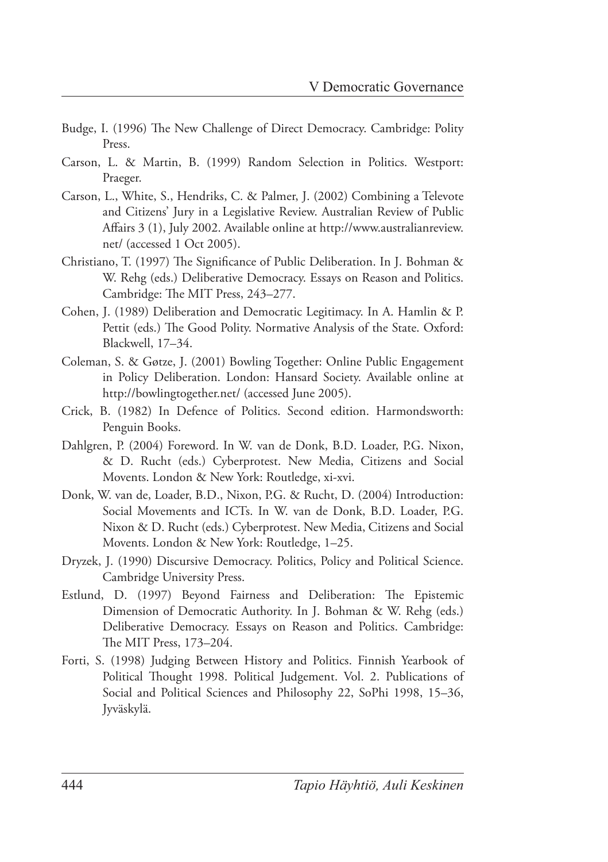- Budge, I. (1996) The New Challenge of Direct Democracy. Cambridge: Polity Press.
- Carson, L. & Martin, B. (1999) Random Selection in Politics. Westport: Praeger.
- Carson, L., White, S., Hendriks, C. & Palmer, J. (2002) Combining a Televote and Citizens' Jury in a Legislative Review. Australian Review of Public Affairs 3 (1), July 2002. Available online at [http://www.australianreview.](http://www.australianreview.net/) [net/](http://www.australianreview.net/) (accessed 1 Oct 2005).
- Christiano, T. (1997) The Significance of Public Deliberation. In J. Bohman  $\&$ W. Rehg (eds.) Deliberative Democracy. Essays on Reason and Politics. Cambridge: The MIT Press, 243-277.
- Cohen, J. (1989) Deliberation and Democratic Legitimacy. In A. Hamlin & P. Pettit (eds.) The Good Polity. Normative Analysis of the State. Oxford: Blackwell, 17–34.
- Coleman, S. & Gøtze, J. (2001) Bowling Together: Online Public Engagement in Policy Deliberation. London: Hansard Society. Available online at <http://bowlingtogether.net/> (accessed June 2005).
- Crick, B. (1982) In Defence of Politics. Second edition. Harmondsworth: Penguin Books.
- Dahlgren, P. (2004) Foreword. In W. van de Donk, B.D. Loader, P.G. Nixon, & D. Rucht (eds.) Cyberprotest. New Media, Citizens and Social Movents. London & New York: Routledge, xi-xvi.
- Donk, W. van de, Loader, B.D., Nixon, P.G. & Rucht, D. (2004) Introduction: Social Movements and ICTs. In W. van de Donk, B.D. Loader, P.G. Nixon & D. Rucht (eds.) Cyberprotest. New Media, Citizens and Social Movents. London & New York: Routledge, 1–25.
- Dryzek, J. (1990) Discursive Democracy. Politics, Policy and Political Science. Cambridge University Press.
- Estlund, D. (1997) Beyond Fairness and Deliberation: The Epistemic Dimension of Democratic Authority. In J. Bohman & W. Rehg (eds.) Deliberative Democracy. Essays on Reason and Politics. Cambridge: The MIT Press, 173-204.
- Forti, S. (1998) Judging Between History and Politics. Finnish Yearbook of Political Thought 1998. Political Judgement. Vol. 2. Publications of Social and Political Sciences and Philosophy 22, SoPhi 1998, 15–36, Jyväskylä.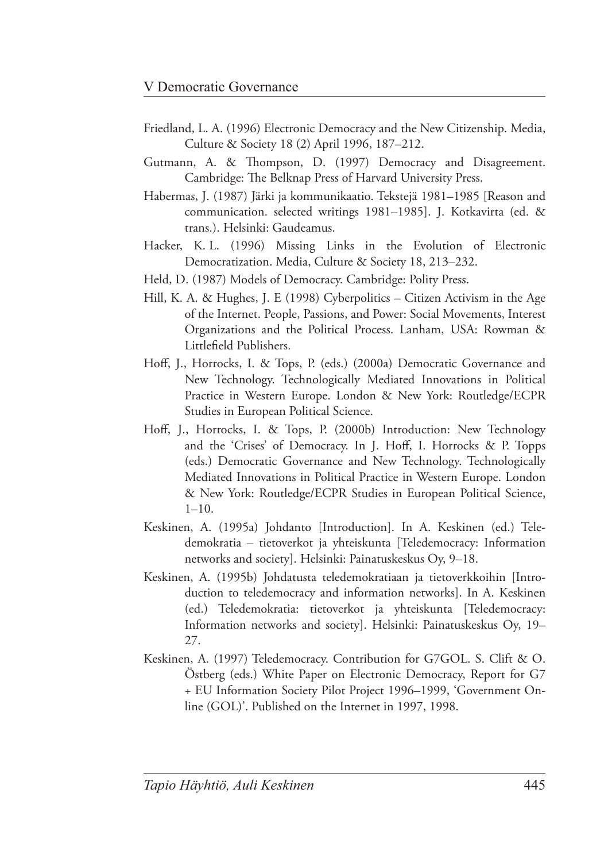- Friedland, L. A. (1996) Electronic Democracy and the New Citizenship. Media, Culture & Society 18 (2) April 1996, 187–212.
- Gutmann, A. & Thompson, D. (1997) Democracy and Disagreement. Cambridge: The Belknap Press of Harvard University Press.
- Habermas, J. (1987) Järki ja kommunikaatio. Tekstejä 1981–1985 [Reason and communication. selected writings 1981–1985]. J. Kotkavirta (ed. & trans.). Helsinki: Gaudeamus.
- Hacker, K. L. (1996) Missing Links in the Evolution of Electronic Democratization. Media, Culture & Society 18, 213–232.
- Held, D. (1987) Models of Democracy. Cambridge: Polity Press.
- Hill, K. A. & Hughes, J. E (1998) Cyberpolitics Citizen Activism in the Age of the Internet. People, Passions, and Power: Social Movements, Interest Organizations and the Political Process. Lanham, USA: Rowman & Littlefield Publishers.
- Hoff, J., Horrocks, I. & Tops, P. (eds.) (2000a) Democratic Governance and New Technology. Technologically Mediated Innovations in Political Practice in Western Europe. London & New York: Routledge/ECPR Studies in European Political Science.
- Hoff, J., Horrocks, I. & Tops, P. (2000b) Introduction: New Technology and the 'Crises' of Democracy. In J. Hoff, I. Horrocks & P. Topps (eds.) Democratic Governance and New Technology. Technologically Mediated Innovations in Political Practice in Western Europe. London & New York: Routledge/ECPR Studies in European Political Science,  $1 - 10$ .
- Keskinen, A. (1995a) Johdanto [Introduction]. In A. Keskinen (ed.) Teledemokratia – tietoverkot ja yhteiskunta [Teledemocracy: Information networks and society]. Helsinki: Painatuskeskus Oy, 9–18.
- Keskinen, A. (1995b) Johdatusta teledemokratiaan ja tietoverkkoihin [Introduction to teledemocracy and information networks]. In A. Keskinen (ed.) Teledemokratia: tietoverkot ja yhteiskunta [Teledemocracy: Information networks and society]. Helsinki: Painatuskeskus Oy, 19– 27.
- Keskinen, A. (1997) Teledemocracy. Contribution for G7GOL. S. Clift & O. Östberg (eds.) White Paper on Electronic Democracy, Report for G7 + EU Information Society Pilot Project 1996 –1999, 'Government Online (GOL)'. Published on the Internet in 1997, 1998.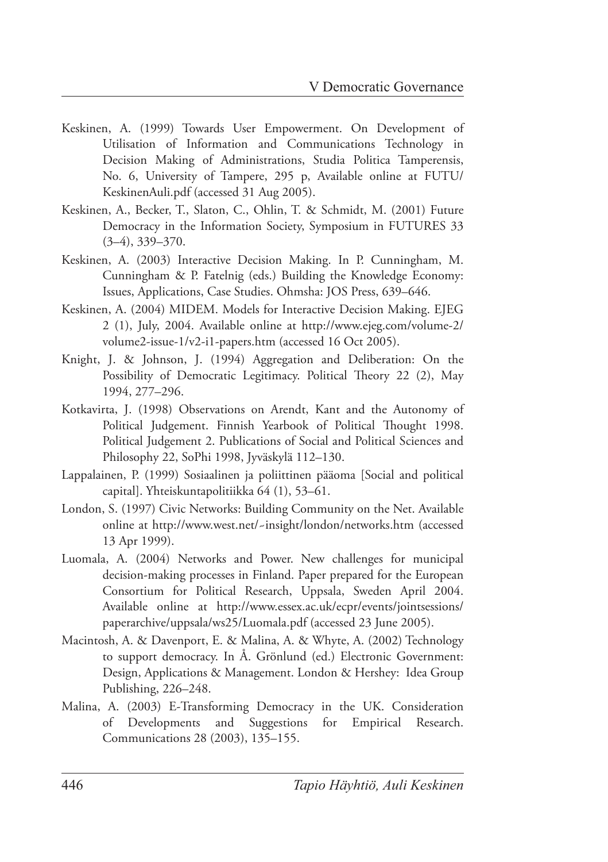- Keskinen, A. (1999) Towards User Empowerment. On Development of Utilisation of Information and Communications Technology in Decision Making of Administrations, Studia Politica Tamperensis, No. 6, University of Tampere, 295 p, Available online at FUTU/ KeskinenAuli.pdf (accessed 31 Aug 2005).
- Keskinen, A., Becker, T., Slaton, C., Ohlin, T. & Schmidt, M. (2001) Future Democracy in the Information Society, Symposium in FUTURES 33 (3–4), 339–370.
- Keskinen, A. (2003) Interactive Decision Making. In P. Cunningham, M. Cunningham & P. Fatelnig (eds.) Building the Knowledge Economy: Issues, Applications, Case Studies. Ohmsha: JOS Press, 639–646.
- Keskinen, A. (2004) MIDEM. Models for Interactive Decision Making. EJEG 2 (1), July, 2004. Available online at [http://www.ejeg.com/volume-2/](http://www.ejeg.com/volume-2/volume2-issue-1/v2-i1-papers.htm) [volume2-issue-1/v2-i1-papers.htm](http://www.ejeg.com/volume-2/volume2-issue-1/v2-i1-papers.htm) (accessed 16 Oct 2005).
- Knight, J. & Johnson, J. (1994) Aggregation and Deliberation: On the Possibility of Democratic Legitimacy. Political Theory 22 (2), May 1994, 277–296.
- Kotkavirta, J. (1998) Observations on Arendt, Kant and the Autonomy of Political Judgement. Finnish Yearbook of Political Thought 1998. Political Judgement 2. Publications of Social and Political Sciences and Philosophy 22, SoPhi 1998, Jyväskylä 112–130.
- Lappalainen, P. (1999) Sosiaalinen ja poliittinen pääoma [Social and political capital]. Yhteiskuntapolitiikka 64 (1), 53–61.
- London, S. (1997) Civic Networks: Building Community on the Net. Available online at http://www.west.net/~insight/london/networks.htm (accessed 13 Apr 1999).
- Luomala, A. (2004) Networks and Power. New challenges for municipal decision-making processes in Finland. Paper prepared for the European Consortium for Political Research, Uppsala, Sweden April 2004. Available online at [http://www.essex.ac.uk/ecpr/events/jointsessions/](http://www.essex.ac.uk/ecpr/events/jointsessions/paperarchive/uppsala/ws25/Luomala.pdf) [paperarchive/uppsala/ws25/Luomala.pdf](http://www.essex.ac.uk/ecpr/events/jointsessions/paperarchive/uppsala/ws25/Luomala.pdf) (accessed 23 June 2005).
- Macintosh, A. & Davenport, E. & Malina, A. & Whyte, A. (2002) Technology to support democracy. In Å. Grönlund (ed.) Electronic Government: Design, Applications & Management. London & Hershey: Idea Group Publishing, 226–248.
- Malina, A. (2003) E-Transforming Democracy in the UK. Consideration of Developments and Suggestions for Empirical Research. Communications 28 (2003), 135–155.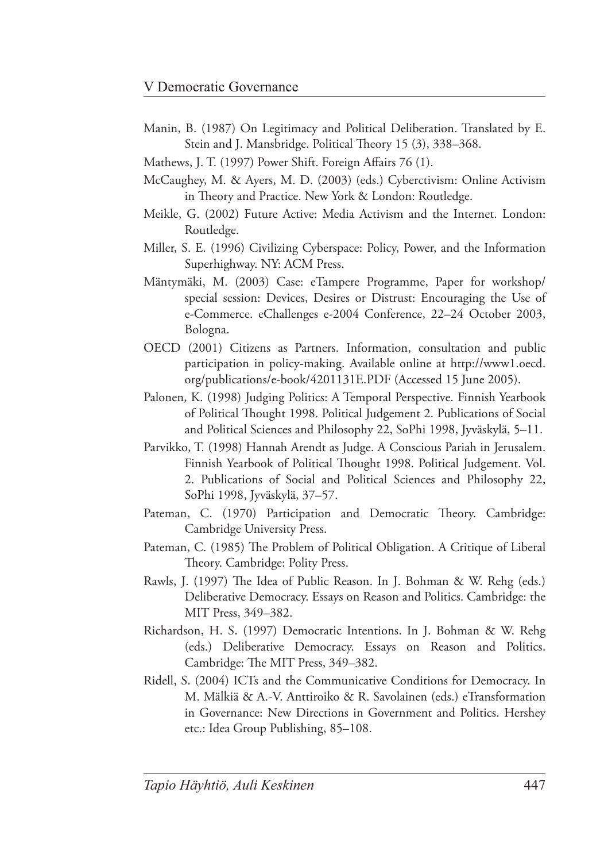- Manin, B. (1987) On Legitimacy and Political Deliberation. Translated by E. Stein and J. Mansbridge. Political Theory 15 (3), 338-368.
- Mathews, J. T. (1997) Power Shift. Foreign Affairs 76 (1).
- McCaughey, M. & Ayers, M. D. (2003) (eds.) Cyberctivism: Online Activism in Theory and Practice. New York & London: Routledge.
- Meikle, G. (2002) Future Active: Media Activism and the Internet. London: Routledge.
- Miller, S. E. (1996) Civilizing Cyberspace: Policy, Power, and the Information Superhighway. NY: ACM Press.
- Mäntymäki, M. (2003) Case: eTampere Programme, Paper for workshop/ special session: Devices, Desires or Distrust: Encouraging the Use of e-Commerce. eChallenges e-2004 Conference, 22–24 October 2003, Bologna.
- OECD (2001) Citizens as Partners. Information, consultation and public participation in policy-making. Available online at [http://www1.oecd.](http://www1.oecd.org/publications/e-book/4201131E.PDF) [org/publications/e-book/4201131E.PDF](http://www1.oecd.org/publications/e-book/4201131E.PDF) (Accessed 15 June 2005).
- Palonen, K. (1998) Judging Politics: A Temporal Perspective. Finnish Yearbook of Political Thought 1998. Political Judgement 2. Publications of Social and Political Sciences and Philosophy 22, SoPhi 1998, Jyväskylä, 5–11.
- Parvikko, T. (1998) Hannah Arendt as Judge. A Conscious Pariah in Jerusalem. Finnish Yearbook of Political Thought 1998. Political Judgement. Vol. 2. Publications of Social and Political Sciences and Philosophy 22, SoPhi 1998, Jyväskylä, 37–57.
- Pateman, C. (1970) Participation and Democratic Theory. Cambridge: Cambridge University Press.
- Pateman, C. (1985) The Problem of Political Obligation. A Critique of Liberal Theory. Cambridge: Polity Press.
- Rawls, J. (1997) The Idea of Public Reason. In J. Bohman & W. Rehg (eds.) Deliberative Democracy. Essays on Reason and Politics. Cambridge: the MIT Press, 349–382.
- Richardson, H. S. (1997) Democratic Intentions. In J. Bohman & W. Rehg (eds.) Deliberative Democracy. Essays on Reason and Politics. Cambridge: The MIT Press, 349-382.
- Ridell, S. (2004) ICTs and the Communicative Conditions for Democracy. In M. Mälkiä & A.-V. Anttiroiko & R. Savolainen (eds.) eTransformation in Governance: New Directions in Government and Politics. Hershey etc.: Idea Group Publishing, 85–108.